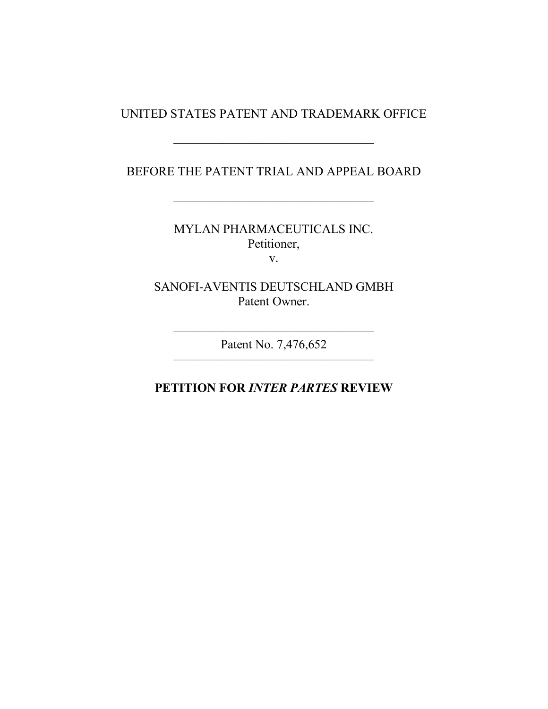### UNITED STATES PATENT AND TRADEMARK OFFICE

#### BEFORE THE PATENT TRIAL AND APPEAL BOARD

————————————————

————————————————

MYLAN PHARMACEUTICALS INC. Petitioner, v.

SANOFI-AVENTIS DEUTSCHLAND GMBH Patent Owner.

———————————————— Patent No. 7,476,652 ————————————————

## **PETITION FOR** *INTER PARTES* **REVIEW**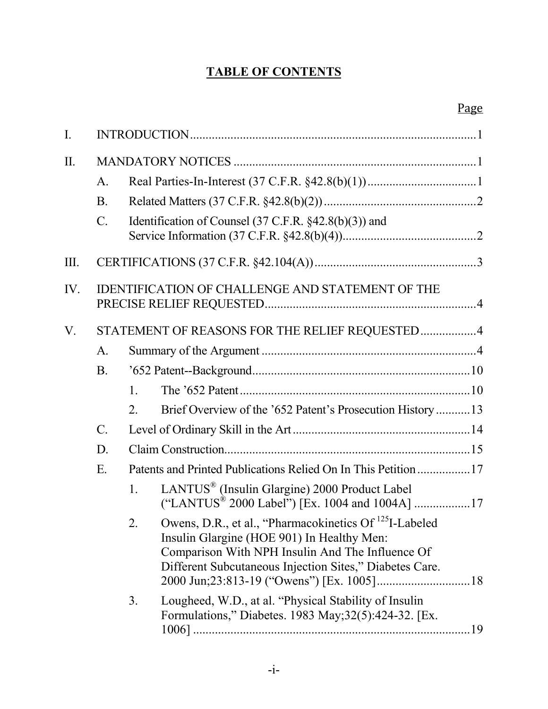# **TABLE OF CONTENTS**

## Page

| $\mathbf{I}$ . |                                                         |                |                                                                                                                                                                                                                                 |
|----------------|---------------------------------------------------------|----------------|---------------------------------------------------------------------------------------------------------------------------------------------------------------------------------------------------------------------------------|
| $\prod$ .      |                                                         |                |                                                                                                                                                                                                                                 |
|                | A.                                                      |                |                                                                                                                                                                                                                                 |
|                | <b>B</b> .                                              |                |                                                                                                                                                                                                                                 |
|                | $\mathcal{C}$ .                                         |                | Identification of Counsel $(37 \text{ C.F.R. } §42.8(b)(3))$ and                                                                                                                                                                |
| Ш.             |                                                         |                |                                                                                                                                                                                                                                 |
| IV.            | <b>IDENTIFICATION OF CHALLENGE AND STATEMENT OF THE</b> |                |                                                                                                                                                                                                                                 |
| V.             |                                                         |                | STATEMENT OF REASONS FOR THE RELIEF REQUESTED4                                                                                                                                                                                  |
|                | A.                                                      |                |                                                                                                                                                                                                                                 |
|                | B.                                                      |                |                                                                                                                                                                                                                                 |
|                |                                                         | $\mathbf{1}$ . |                                                                                                                                                                                                                                 |
|                |                                                         | 2.             | Brief Overview of the '652 Patent's Prosecution History13                                                                                                                                                                       |
|                | $\mathcal{C}$ .                                         |                |                                                                                                                                                                                                                                 |
|                | D.                                                      |                |                                                                                                                                                                                                                                 |
|                | E.                                                      |                | Patents and Printed Publications Relied On In This Petition 17                                                                                                                                                                  |
|                |                                                         | $1_{-}$        | LANTUS <sup>®</sup> (Insulin Glargine) 2000 Product Label                                                                                                                                                                       |
|                |                                                         | 2.             | Owens, D.R., et al., "Pharmacokinetics Of <sup>125</sup> I-Labeled<br>Insulin Glargine (HOE 901) In Healthy Men:<br>Comparison With NPH Insulin And The Influence Of<br>Different Subcutaneous Injection Sites," Diabetes Care. |
|                |                                                         | 3.             | Lougheed, W.D., at al. "Physical Stability of Insulin<br>Formulations," Diabetes. 1983 May; 32(5): 424-32. [Ex.                                                                                                                 |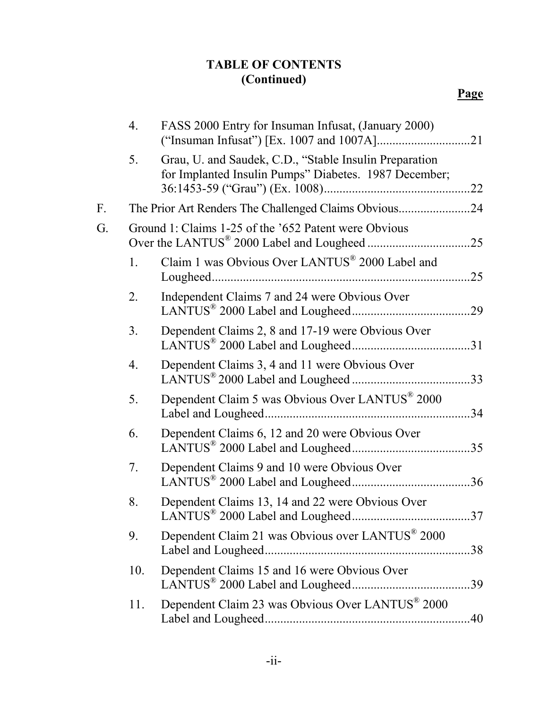# **TABLE OF CONTENTS (Continued)**

|    | 4.               | FASS 2000 Entry for Insuman Infusat, (January 2000)                                                             |     |
|----|------------------|-----------------------------------------------------------------------------------------------------------------|-----|
|    | 5.               | Grau, U. and Saudek, C.D., "Stable Insulin Preparation<br>for Implanted Insulin Pumps" Diabetes. 1987 December; |     |
| F. |                  | The Prior Art Renders The Challenged Claims Obvious24                                                           |     |
| G. |                  | Ground 1: Claims 1-25 of the '652 Patent were Obvious                                                           |     |
|    | $\mathbf{1}$ .   | Claim 1 was Obvious Over LANTUS <sup>®</sup> 2000 Label and                                                     |     |
|    | 2.               | Independent Claims 7 and 24 were Obvious Over                                                                   |     |
|    | 3 <sub>1</sub>   | Dependent Claims 2, 8 and 17-19 were Obvious Over                                                               |     |
|    | $\overline{4}$ . | Dependent Claims 3, 4 and 11 were Obvious Over                                                                  |     |
|    | 5.               | Dependent Claim 5 was Obvious Over LANTUS® 2000                                                                 |     |
|    | 6.               | Dependent Claims 6, 12 and 20 were Obvious Over                                                                 |     |
|    | 7.               | Dependent Claims 9 and 10 were Obvious Over                                                                     |     |
|    | 8.               | Dependent Claims 13, 14 and 22 were Obvious Over                                                                | 37  |
|    | 9.               | Dependent Claim 21 was Obvious over LANTUS® 2000                                                                |     |
|    | 10.              | Dependent Claims 15 and 16 were Obvious Over                                                                    | .39 |
|    | 11.              | Dependent Claim 23 was Obvious Over LANTUS® 2000                                                                | .40 |
|    |                  |                                                                                                                 |     |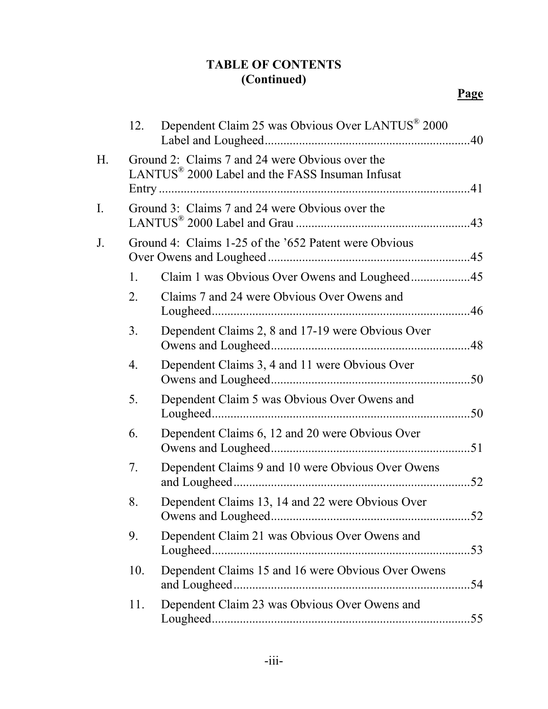# **TABLE OF CONTENTS (Continued)**

|    | 12.            | Dependent Claim 25 was Obvious Over LANTUS <sup>®</sup> 2000                                                   |     |
|----|----------------|----------------------------------------------------------------------------------------------------------------|-----|
| Н. |                | Ground 2: Claims 7 and 24 were Obvious over the<br>LANTUS <sup>®</sup> 2000 Label and the FASS Insuman Infusat |     |
| I. |                | Ground 3: Claims 7 and 24 were Obvious over the                                                                |     |
| J. |                | Ground 4: Claims 1-25 of the '652 Patent were Obvious                                                          |     |
|    | $\mathbf{1}$ . |                                                                                                                |     |
|    | 2.             | Claims 7 and 24 were Obvious Over Owens and                                                                    |     |
|    | 3 <sub>1</sub> | Dependent Claims 2, 8 and 17-19 were Obvious Over                                                              |     |
|    | 4.             | Dependent Claims 3, 4 and 11 were Obvious Over                                                                 |     |
|    | 5.             | Dependent Claim 5 was Obvious Over Owens and                                                                   |     |
|    | 6.             | Dependent Claims 6, 12 and 20 were Obvious Over                                                                |     |
|    | 7.             | Dependent Claims 9 and 10 were Obvious Over Owens                                                              |     |
|    | 8.             | Dependent Claims 13, 14 and 22 were Obvious Over                                                               |     |
|    | 9.             | Dependent Claim 21 was Obvious Over Owens and                                                                  |     |
|    | 10.            | Dependent Claims 15 and 16 were Obvious Over Owens                                                             | .54 |
|    | 11.            | Dependent Claim 23 was Obvious Over Owens and                                                                  |     |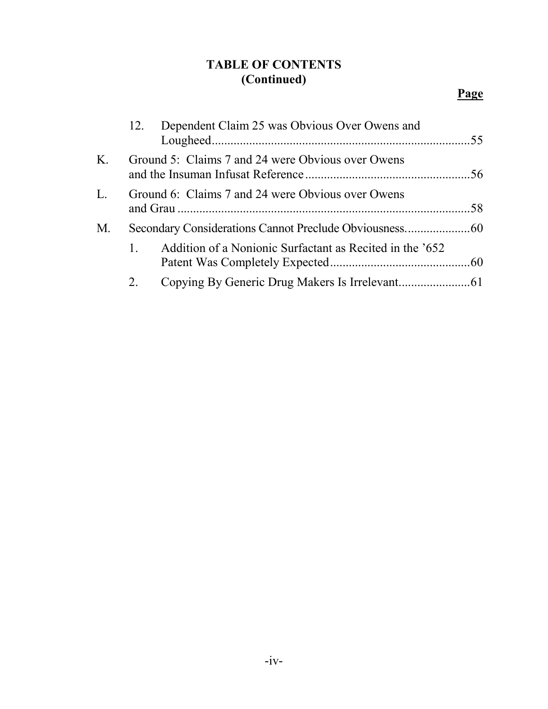# **TABLE OF CONTENTS (Continued)**

|    | 12. | Dependent Claim 25 was Obvious Over Owens and            |  |
|----|-----|----------------------------------------------------------|--|
| Κ. |     | Ground 5: Claims 7 and 24 were Obvious over Owens        |  |
| L. |     | Ground 6: Claims 7 and 24 were Obvious over Owens        |  |
| М. |     |                                                          |  |
|    |     | Addition of a Nonionic Surfactant as Recited in the '652 |  |
|    | 2.  |                                                          |  |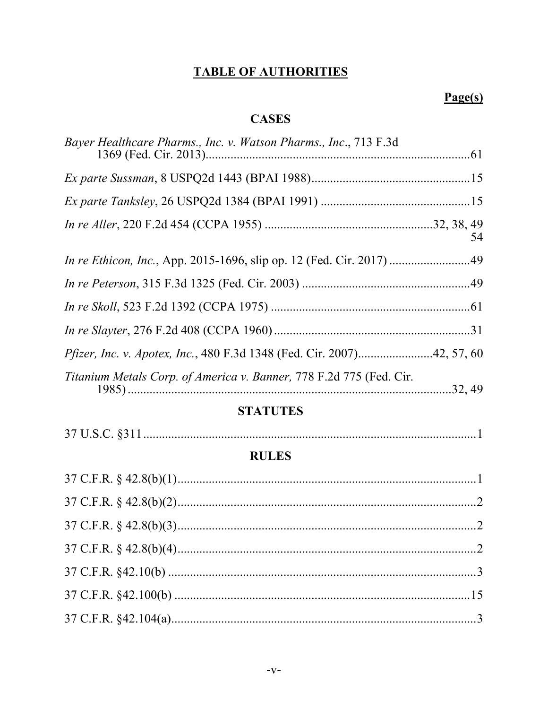# **TABLE OF AUTHORITIES**

# $Page(s)$

# **CASES**

| Bayer Healthcare Pharms., Inc. v. Watson Pharms., Inc., 713 F.3d              |    |
|-------------------------------------------------------------------------------|----|
|                                                                               |    |
|                                                                               |    |
|                                                                               |    |
|                                                                               | 54 |
| In re Ethicon, Inc., App. 2015-1696, slip op. 12 (Fed. Cir. 2017) 49          |    |
|                                                                               |    |
|                                                                               |    |
|                                                                               |    |
| <i>Pfizer, Inc. v. Apotex, Inc., 480 F.3d 1348 (Fed. Cir. 2007)42, 57, 60</i> |    |
| Titanium Metals Corp. of America v. Banner, 778 F.2d 775 (Fed. Cir.           |    |

## **STATUTES**

# **RULES**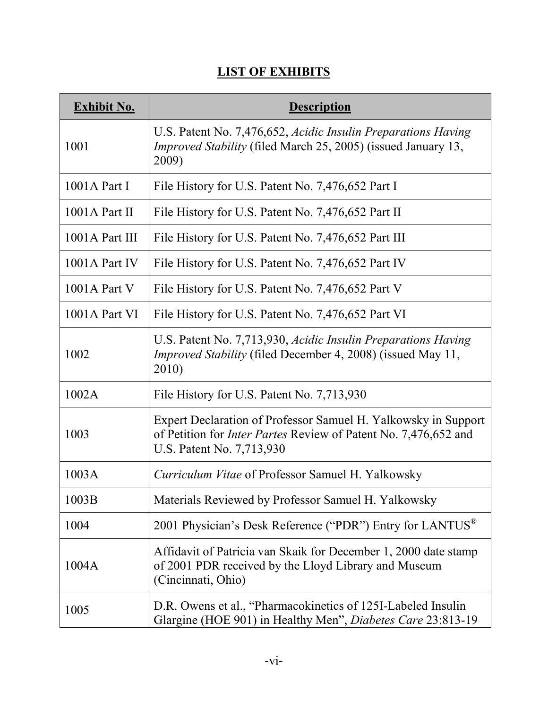# **LIST OF EXHIBITS**

| <b>Exhibit No.</b> | <b>Description</b>                                                                                                                                                    |
|--------------------|-----------------------------------------------------------------------------------------------------------------------------------------------------------------------|
| 1001               | U.S. Patent No. 7,476,652, Acidic Insulin Preparations Having<br><i>Improved Stability</i> (filed March 25, 2005) (issued January 13,<br>2009)                        |
| $1001A$ Part I     | File History for U.S. Patent No. 7,476,652 Part I                                                                                                                     |
| $1001A$ Part II    | File History for U.S. Patent No. 7,476,652 Part II                                                                                                                    |
| 1001A Part III     | File History for U.S. Patent No. 7,476,652 Part III                                                                                                                   |
| 1001A Part IV      | File History for U.S. Patent No. 7,476,652 Part IV                                                                                                                    |
| $1001A$ Part V     | File History for U.S. Patent No. 7,476,652 Part V                                                                                                                     |
| 1001A Part VI      | File History for U.S. Patent No. 7,476,652 Part VI                                                                                                                    |
| 1002               | U.S. Patent No. 7,713,930, Acidic Insulin Preparations Having<br><i>Improved Stability</i> (filed December 4, 2008) (issued May 11,<br>2010)                          |
| 1002A              | File History for U.S. Patent No. 7,713,930                                                                                                                            |
| 1003               | Expert Declaration of Professor Samuel H. Yalkowsky in Support<br>of Petition for <i>Inter Partes</i> Review of Patent No. 7,476,652 and<br>U.S. Patent No. 7,713,930 |
| 1003A              | Curriculum Vitae of Professor Samuel H. Yalkowsky                                                                                                                     |
| 1003B              | Materials Reviewed by Professor Samuel H. Yalkowsky                                                                                                                   |
| 1004               | 2001 Physician's Desk Reference ("PDR") Entry for LANTUS <sup>®</sup>                                                                                                 |
| 1004A              | Affidavit of Patricia van Skaik for December 1, 2000 date stamp<br>of 2001 PDR received by the Lloyd Library and Museum<br>(Cincinnati, Ohio)                         |
| 1005               | D.R. Owens et al., "Pharmacokinetics of 125I-Labeled Insulin<br>Glargine (HOE 901) in Healthy Men", Diabetes Care 23:813-19                                           |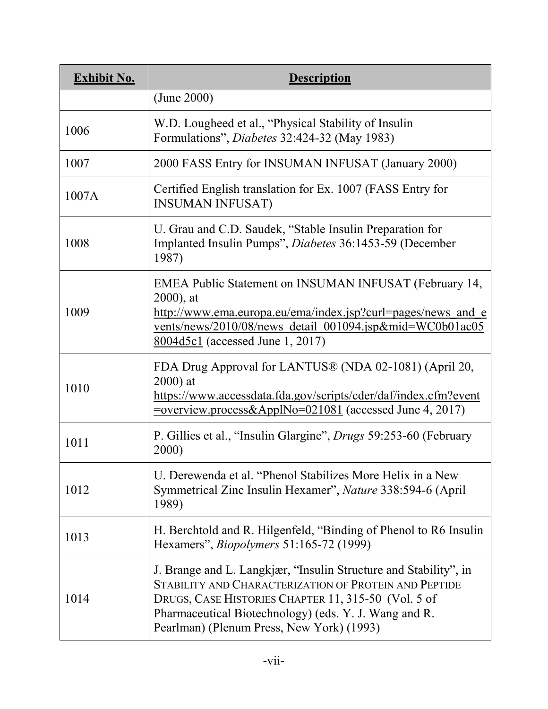| <b>Exhibit No.</b> | <b>Description</b>                                                                                                                                                                                                                                                                     |
|--------------------|----------------------------------------------------------------------------------------------------------------------------------------------------------------------------------------------------------------------------------------------------------------------------------------|
|                    | (June 2000)                                                                                                                                                                                                                                                                            |
| 1006               | W.D. Lougheed et al., "Physical Stability of Insulin<br>Formulations", <i>Diabetes</i> 32:424-32 (May 1983)                                                                                                                                                                            |
| 1007               | 2000 FASS Entry for INSUMAN INFUSAT (January 2000)                                                                                                                                                                                                                                     |
| 1007A              | Certified English translation for Ex. 1007 (FASS Entry for<br><b>INSUMAN INFUSAT)</b>                                                                                                                                                                                                  |
| 1008               | U. Grau and C.D. Saudek, "Stable Insulin Preparation for<br>Implanted Insulin Pumps", Diabetes 36:1453-59 (December<br>1987)                                                                                                                                                           |
| 1009               | EMEA Public Statement on INSUMAN INFUSAT (February 14,<br>$2000$ , at<br>http://www.ema.europa.eu/ema/index.jsp?curl=pages/news_and_e<br>vents/news/2010/08/news detail 001094.jsp∣=WC0b01ac05<br>$8004d5c1$ (accessed June 1, 2017)                                                   |
| 1010               | FDA Drug Approval for LANTUS® (NDA 02-1081) (April 20,<br>$2000$ ) at<br>https://www.accessdata.fda.gov/scripts/cder/daf/index.cfm?event                                                                                                                                               |
| 1011               | P. Gillies et al., "Insulin Glargine", <i>Drugs</i> 59:253-60 (February<br>2000)                                                                                                                                                                                                       |
| 1012               | U. Derewenda et al. "Phenol Stabilizes More Helix in a New<br>Symmetrical Zinc Insulin Hexamer", Nature 338:594-6 (April<br>1989)                                                                                                                                                      |
| 1013               | H. Berchtold and R. Hilgenfeld, "Binding of Phenol to R6 Insulin<br>Hexamers", <i>Biopolymers</i> 51:165-72 (1999)                                                                                                                                                                     |
| 1014               | J. Brange and L. Langkjær, "Insulin Structure and Stability", in<br>STABILITY AND CHARACTERIZATION OF PROTEIN AND PEPTIDE<br>DRUGS, CASE HISTORIES CHAPTER 11, 315-50 (Vol. 5 of<br>Pharmaceutical Biotechnology) (eds. Y. J. Wang and R.<br>Pearlman) (Plenum Press, New York) (1993) |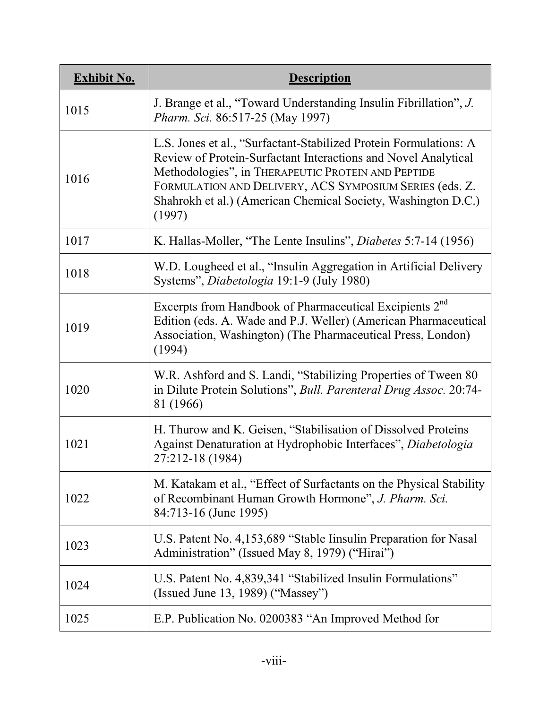| <b>Exhibit No.</b> | <b>Description</b>                                                                                                                                                                                                                                                                                                              |
|--------------------|---------------------------------------------------------------------------------------------------------------------------------------------------------------------------------------------------------------------------------------------------------------------------------------------------------------------------------|
| 1015               | J. Brange et al., "Toward Understanding Insulin Fibrillation", J.<br>Pharm. Sci. 86:517-25 (May 1997)                                                                                                                                                                                                                           |
| 1016               | L.S. Jones et al., "Surfactant-Stabilized Protein Formulations: A<br>Review of Protein-Surfactant Interactions and Novel Analytical<br>Methodologies", in THERAPEUTIC PROTEIN AND PEPTIDE<br>FORMULATION AND DELIVERY, ACS SYMPOSIUM SERIES (eds. Z.<br>Shahrokh et al.) (American Chemical Society, Washington D.C.)<br>(1997) |
| 1017               | K. Hallas-Moller, "The Lente Insulins", <i>Diabetes</i> 5:7-14 (1956)                                                                                                                                                                                                                                                           |
| 1018               | W.D. Lougheed et al., "Insulin Aggregation in Artificial Delivery<br>Systems", Diabetologia 19:1-9 (July 1980)                                                                                                                                                                                                                  |
| 1019               | Excerpts from Handbook of Pharmaceutical Excipients 2 <sup>nd</sup><br>Edition (eds. A. Wade and P.J. Weller) (American Pharmaceutical<br>Association, Washington) (The Pharmaceutical Press, London)<br>(1994)                                                                                                                 |
| 1020               | W.R. Ashford and S. Landi, "Stabilizing Properties of Tween 80<br>in Dilute Protein Solutions", Bull. Parenteral Drug Assoc. 20:74-<br>81 (1966)                                                                                                                                                                                |
| 1021               | H. Thurow and K. Geisen, "Stabilisation of Dissolved Proteins<br>Against Denaturation at Hydrophobic Interfaces", Diabetologia<br>27:212-18 (1984)                                                                                                                                                                              |
| 1022               | M. Katakam et al., "Effect of Surfactants on the Physical Stability<br>of Recombinant Human Growth Hormone", J. Pharm. Sci.<br>84:713-16 (June 1995)                                                                                                                                                                            |
| 1023               | U.S. Patent No. 4,153,689 "Stable Iinsulin Preparation for Nasal<br>Administration" (Issued May 8, 1979) ("Hirai")                                                                                                                                                                                                              |
| 1024               | U.S. Patent No. 4,839,341 "Stabilized Insulin Formulations"<br>(Issued June 13, 1989) ("Massey")                                                                                                                                                                                                                                |
| 1025               | E.P. Publication No. 0200383 "An Improved Method for                                                                                                                                                                                                                                                                            |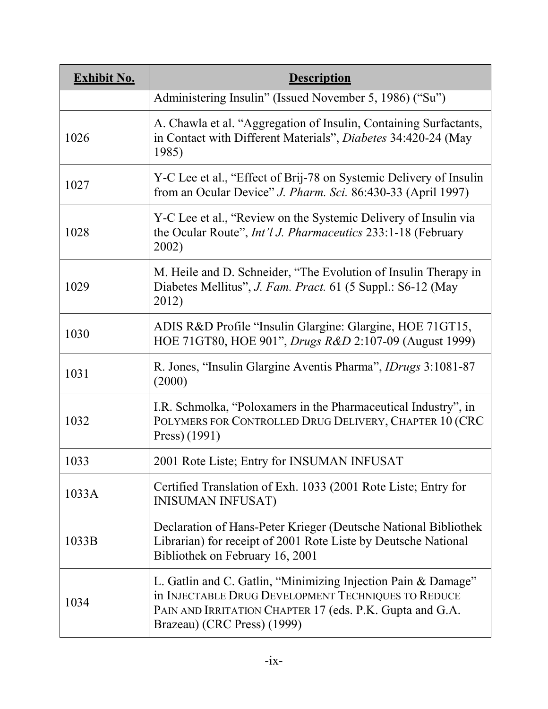| <b>Exhibit No.</b> | <b>Description</b>                                                                                                                                                                                              |
|--------------------|-----------------------------------------------------------------------------------------------------------------------------------------------------------------------------------------------------------------|
|                    | Administering Insulin" (Issued November 5, 1986) ("Su")                                                                                                                                                         |
| 1026               | A. Chawla et al. "Aggregation of Insulin, Containing Surfactants,<br>in Contact with Different Materials", Diabetes 34:420-24 (May<br>1985)                                                                     |
| 1027               | Y-C Lee et al., "Effect of Brij-78 on Systemic Delivery of Insulin<br>from an Ocular Device" J. Pharm. Sci. 86:430-33 (April 1997)                                                                              |
| 1028               | Y-C Lee et al., "Review on the Systemic Delivery of Insulin via<br>the Ocular Route", <i>Int'l J. Pharmaceutics</i> 233:1-18 (February<br>2002)                                                                 |
| 1029               | M. Heile and D. Schneider, "The Evolution of Insulin Therapy in<br>Diabetes Mellitus", J. Fam. Pract. 61 (5 Suppl.: S6-12 (May<br>2012)                                                                         |
| 1030               | ADIS R&D Profile "Insulin Glargine: Glargine, HOE 71GT15,<br>HOE 71GT80, HOE 901", <i>Drugs R&amp;D</i> 2:107-09 (August 1999)                                                                                  |
| 1031               | R. Jones, "Insulin Glargine Aventis Pharma", <i>IDrugs</i> 3:1081-87<br>(2000)                                                                                                                                  |
| 1032               | I.R. Schmolka, "Poloxamers in the Pharmaceutical Industry", in<br>POLYMERS FOR CONTROLLED DRUG DELIVERY, CHAPTER 10 (CRC<br>Press) (1991)                                                                       |
| 1033               | 2001 Rote Liste; Entry for INSUMAN INFUSAT                                                                                                                                                                      |
| 1033A              | Certified Translation of Exh. 1033 (2001 Rote Liste; Entry for<br><b>INISUMAN INFUSAT)</b>                                                                                                                      |
| 1033B              | Declaration of Hans-Peter Krieger (Deutsche National Bibliothek<br>Librarian) for receipt of 2001 Rote Liste by Deutsche National<br>Bibliothek on February 16, 2001                                            |
| 1034               | L. Gatlin and C. Gatlin, "Minimizing Injection Pain & Damage"<br>in INJECTABLE DRUG DEVELOPMENT TECHNIQUES TO REDUCE<br>PAIN AND IRRITATION CHAPTER 17 (eds. P.K. Gupta and G.A.<br>Brazeau) (CRC Press) (1999) |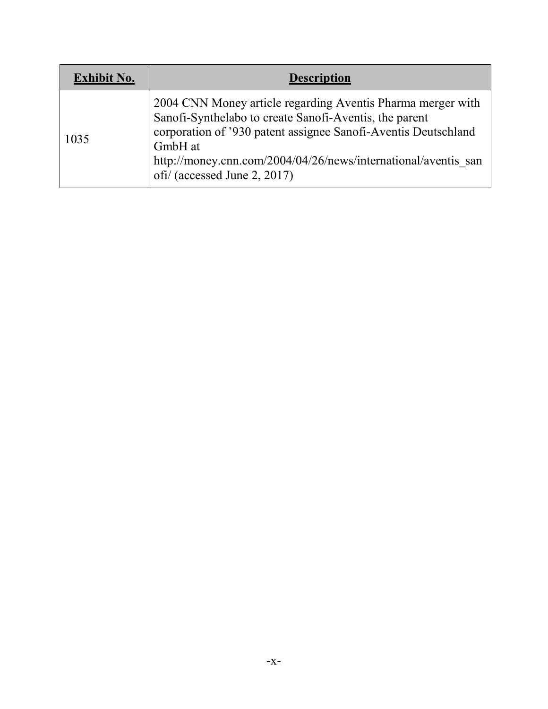| <b>Exhibit No.</b> | <b>Description</b>                                                                                                                                                                                                                                                                                   |
|--------------------|------------------------------------------------------------------------------------------------------------------------------------------------------------------------------------------------------------------------------------------------------------------------------------------------------|
| 1035               | 2004 CNN Money article regarding Aventis Pharma merger with<br>Sanofi-Synthelabo to create Sanofi-Aventis, the parent<br>corporation of '930 patent assignee Sanofi-Aventis Deutschland<br>GmbH at<br>http://money.cnn.com/2004/04/26/news/international/aventis san<br>ofi/ (accessed June 2, 2017) |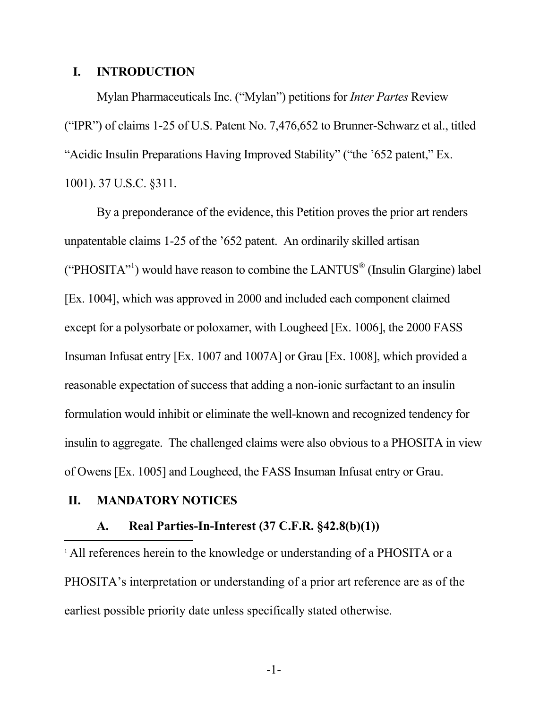#### **I. INTRODUCTION**

Mylan Pharmaceuticals Inc. ("Mylan") petitions for *Inter Partes* Review ("IPR") of claims 1-25 of U.S. Patent No. 7,476,652 to Brunner-Schwarz et al., titled "Acidic Insulin Preparations Having Improved Stability" ("the '652 patent," Ex. 1001). 37 U.S.C. §311.

By a preponderance of the evidence, this Petition proves the prior art renders unpatentable claims 1-25 of the '652 patent. An ordinarily skilled artisan ("PHOSITA"<sup>1</sup>) would have reason to combine the LANTUS<sup>®</sup> (Insulin Glargine) label [Ex. 1004], which was approved in 2000 and included each component claimed except for a polysorbate or poloxamer, with Lougheed [Ex. 1006], the 2000 FASS Insuman Infusat entry [Ex. 1007 and 1007A] or Grau [Ex. 1008], which provided a reasonable expectation of success that adding a non-ionic surfactant to an insulin formulation would inhibit or eliminate the well-known and recognized tendency for insulin to aggregate. The challenged claims were also obvious to a PHOSITA in view of Owens [Ex. 1005] and Lougheed, the FASS Insuman Infusat entry or Grau.

#### **II. MANDATORY NOTICES**

#### **A. Real Parties-In-Interest (37 C.F.R. §42.8(b)(1))**

<sup>1</sup> All references herein to the knowledge or understanding of a PHOSITA or a PHOSITA's interpretation or understanding of a prior art reference are as of the earliest possible priority date unless specifically stated otherwise.

-1-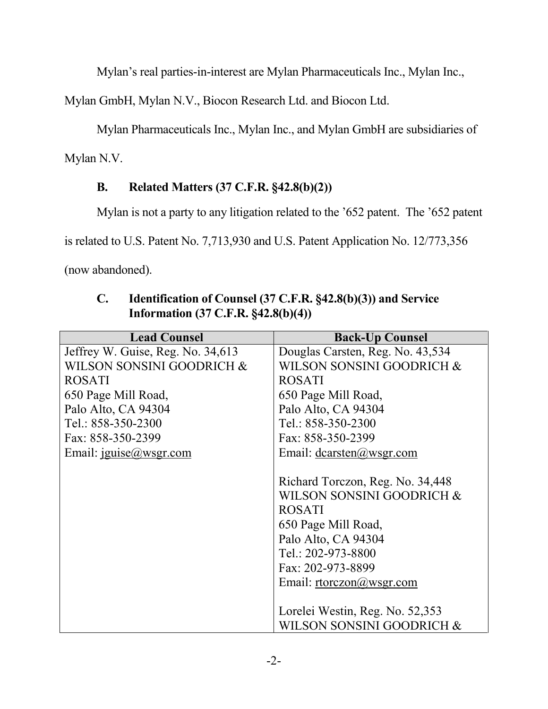Mylan's real parties-in-interest are Mylan Pharmaceuticals Inc., Mylan Inc.,

Mylan GmbH, Mylan N.V., Biocon Research Ltd. and Biocon Ltd.

Mylan Pharmaceuticals Inc., Mylan Inc., and Mylan GmbH are subsidiaries of

Mylan N.V.

# **B. Related Matters (37 C.F.R. §42.8(b)(2))**

Mylan is not a party to any litigation related to the '652 patent. The '652 patent

is related to U.S. Patent No. 7,713,930 and U.S. Patent Application No. 12/773,356

(now abandoned).

| <b>Lead Counsel</b>               | <b>Back-Up Counsel</b>           |  |  |
|-----------------------------------|----------------------------------|--|--|
| Jeffrey W. Guise, Reg. No. 34,613 | Douglas Carsten, Reg. No. 43,534 |  |  |
| WILSON SONSINI GOODRICH &         | WILSON SONSINI GOODRICH &        |  |  |
| <b>ROSATI</b>                     | <b>ROSATI</b>                    |  |  |
| 650 Page Mill Road,               | 650 Page Mill Road,              |  |  |
| Palo Alto, CA 94304               | Palo Alto, CA 94304              |  |  |
| Tel.: 858-350-2300                | Tel.: 858-350-2300               |  |  |
| Fax: 858-350-2399                 | Fax: 858-350-2399                |  |  |
| Email: $iguise@wsgr.com$          | Email: $dcarsten@wsgr.com$       |  |  |
|                                   |                                  |  |  |
|                                   | Richard Torczon, Reg. No. 34,448 |  |  |
|                                   | WILSON SONSINI GOODRICH &        |  |  |
|                                   | <b>ROSATI</b>                    |  |  |
|                                   | 650 Page Mill Road,              |  |  |
|                                   | Palo Alto, CA 94304              |  |  |
|                                   | Tel.: 202-973-8800               |  |  |
|                                   | Fax: 202-973-8899                |  |  |
|                                   | Email: $rtorczon@wsgr.com$       |  |  |
|                                   |                                  |  |  |
|                                   | Lorelei Westin, Reg. No. 52,353  |  |  |
|                                   | WILSON SONSINI GOODRICH &        |  |  |

**C. Identification of Counsel (37 C.F.R. §42.8(b)(3)) and Service Information (37 C.F.R. §42.8(b)(4))**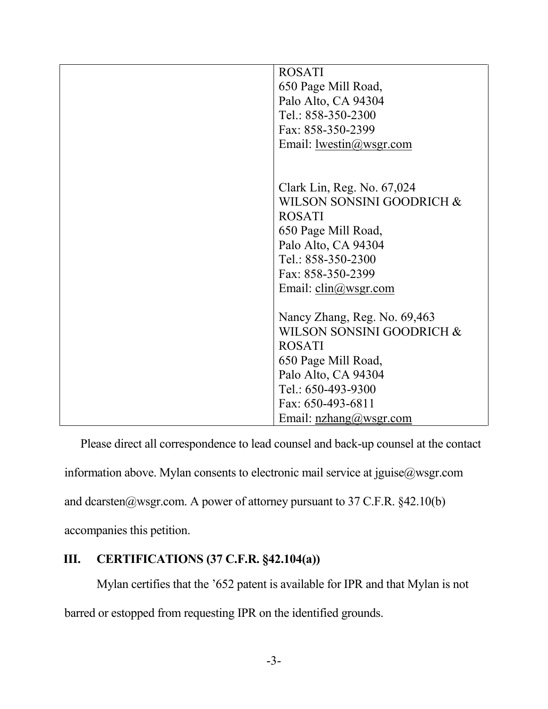| <b>ROSATI</b><br>650 Page Mill Road,<br>Palo Alto, CA 94304<br>Tel.: 858-350-2300<br>Fax: 858-350-2399<br>Email: $lwestin@wsgr.com$                                                                       |
|-----------------------------------------------------------------------------------------------------------------------------------------------------------------------------------------------------------|
| Clark Lin, Reg. No. 67,024<br>WILSON SONSINI GOODRICH &<br><b>ROSATI</b><br>650 Page Mill Road,<br>Palo Alto, CA 94304<br>Tel.: 858-350-2300<br>Fax: 858-350-2399<br>Email: $\text{clip}(\omega$ wsgr.com |
| Nancy Zhang, Reg. No. 69,463<br>WILSON SONSINI GOODRICH &<br><b>ROSATI</b><br>650 Page Mill Road,<br>Palo Alto, CA 94304<br>Tel.: 650-493-9300<br>Fax: 650-493-6811<br>Email: $nzhang@wsgr.com$           |

Please direct all correspondence to lead counsel and back-up counsel at the contact information above. Mylan consents to electronic mail service at jguise@wsgr.com and dcarsten@wsgr.com. A power of attorney pursuant to 37 C.F.R.  $§42.10(b)$ accompanies this petition.

## **III. CERTIFICATIONS (37 C.F.R. §42.104(a))**

Mylan certifies that the '652 patent is available for IPR and that Mylan is not barred or estopped from requesting IPR on the identified grounds.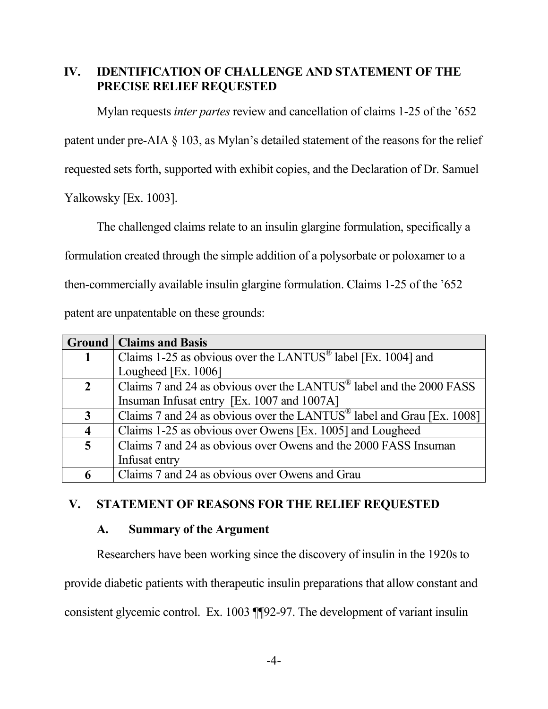## **IV. IDENTIFICATION OF CHALLENGE AND STATEMENT OF THE PRECISE RELIEF REQUESTED**

Mylan requests *inter partes* review and cancellation of claims 1-25 of the '652

patent under pre-AIA § 103, as Mylan's detailed statement of the reasons for the relief

requested sets forth, supported with exhibit copies, and the Declaration of Dr. Samuel

Yalkowsky [Ex. 1003].

The challenged claims relate to an insulin glargine formulation, specifically a

formulation created through the simple addition of a polysorbate or poloxamer to a

then-commercially available insulin glargine formulation. Claims 1-25 of the '652

patent are unpatentable on these grounds:

|                         | <b>Ground   Claims and Basis</b>                                                  |
|-------------------------|-----------------------------------------------------------------------------------|
|                         | Claims 1-25 as obvious over the LANTUS <sup>®</sup> label [Ex. 1004] and          |
|                         | Lougheed [Ex. 1006]                                                               |
| $\overline{2}$          | Claims 7 and 24 as obvious over the LANTUS <sup>®</sup> label and the 2000 FASS   |
|                         | Insuman Infusat entry [Ex. 1007 and 1007A]                                        |
| 3                       | Claims 7 and 24 as obvious over the LANTUS <sup>®</sup> label and Grau [Ex. 1008] |
| $\overline{\mathbf{4}}$ | Claims 1-25 as obvious over Owens [Ex. 1005] and Lougheed                         |
| 5 <sup>5</sup>          | Claims 7 and 24 as obvious over Owens and the 2000 FASS Insuman                   |
|                         | Infusat entry                                                                     |
| 6                       | Claims 7 and 24 as obvious over Owens and Grau                                    |

## **V. STATEMENT OF REASONS FOR THE RELIEF REQUESTED**

### **A. Summary of the Argument**

Researchers have been working since the discovery of insulin in the 1920s to

provide diabetic patients with therapeutic insulin preparations that allow constant and

consistent glycemic control. Ex. 1003 ¶¶92-97. The development of variant insulin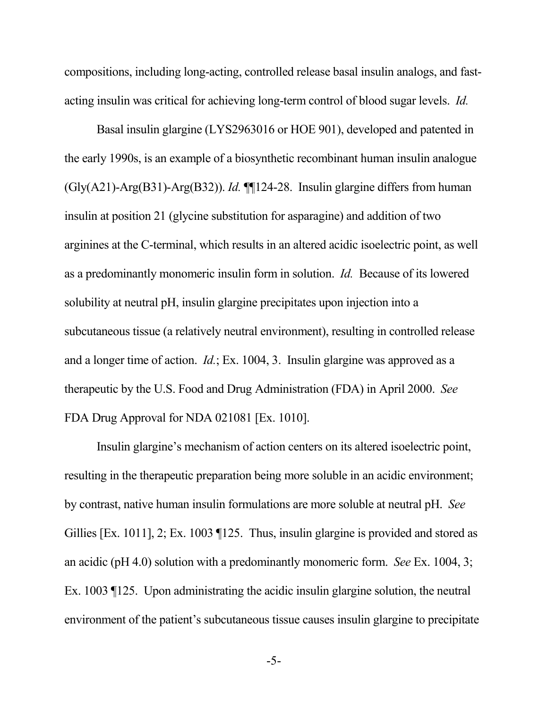compositions, including long-acting, controlled release basal insulin analogs, and fastacting insulin was critical for achieving long-term control of blood sugar levels. *Id.*

Basal insulin glargine (LYS2963016 or HOE 901), developed and patented in the early 1990s, is an example of a biosynthetic recombinant human insulin analogue (Gly(A21)-Arg(B31)-Arg(B32)). *Id.* ¶¶124-28. Insulin glargine differs from human insulin at position 21 (glycine substitution for asparagine) and addition of two arginines at the C-terminal, which results in an altered acidic isoelectric point, as well as a predominantly monomeric insulin form in solution. *Id.* Because of its lowered solubility at neutral pH, insulin glargine precipitates upon injection into a subcutaneous tissue (a relatively neutral environment), resulting in controlled release and a longer time of action. *Id.*; Ex. 1004, 3. Insulin glargine was approved as a therapeutic by the U.S. Food and Drug Administration (FDA) in April 2000. *See*  FDA Drug Approval for NDA 021081 [Ex. 1010].

Insulin glargine's mechanism of action centers on its altered isoelectric point, resulting in the therapeutic preparation being more soluble in an acidic environment; by contrast, native human insulin formulations are more soluble at neutral pH. *See*  Gillies [Ex. 1011], 2; Ex. 1003 [125. Thus, insulin glargine is provided and stored as an acidic (pH 4.0) solution with a predominantly monomeric form. *See* Ex. 1004, 3; Ex. 1003 ¶125. Upon administrating the acidic insulin glargine solution, the neutral environment of the patient's subcutaneous tissue causes insulin glargine to precipitate

-5-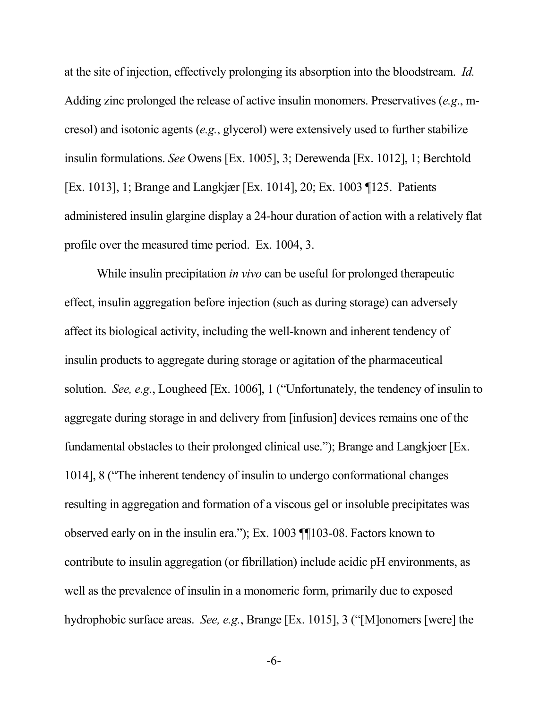at the site of injection, effectively prolonging its absorption into the bloodstream. *Id.* Adding zinc prolonged the release of active insulin monomers. Preservatives (*e.g*., mcresol) and isotonic agents (*e.g.*, glycerol) were extensively used to further stabilize insulin formulations. *See* Owens [Ex. 1005], 3; Derewenda [Ex. 1012], 1; Berchtold [Ex. 1013], 1; Brange and Langkjær [Ex. 1014], 20; Ex. 1003 ¶125. Patients administered insulin glargine display a 24-hour duration of action with a relatively flat profile over the measured time period. Ex. 1004, 3.

While insulin precipitation *in vivo* can be useful for prolonged therapeutic effect, insulin aggregation before injection (such as during storage) can adversely affect its biological activity, including the well-known and inherent tendency of insulin products to aggregate during storage or agitation of the pharmaceutical solution. *See, e.g.*, Lougheed [Ex. 1006], 1 ("Unfortunately, the tendency of insulin to aggregate during storage in and delivery from [infusion] devices remains one of the fundamental obstacles to their prolonged clinical use."); Brange and Langkjoer [Ex. 1014], 8 ("The inherent tendency of insulin to undergo conformational changes resulting in aggregation and formation of a viscous gel or insoluble precipitates was observed early on in the insulin era."); Ex. 1003 ¶¶103-08. Factors known to contribute to insulin aggregation (or fibrillation) include acidic pH environments, as well as the prevalence of insulin in a monomeric form, primarily due to exposed hydrophobic surface areas. *See, e.g.*, Brange [Ex. 1015], 3 ("[M]onomers [were] the

-6-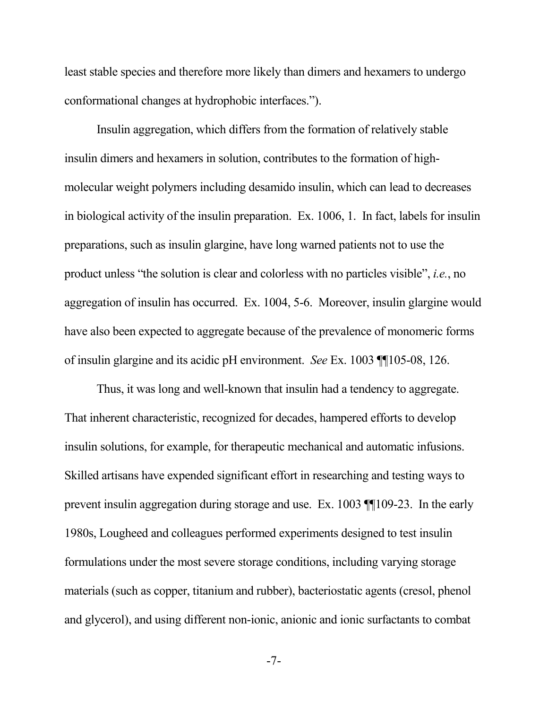least stable species and therefore more likely than dimers and hexamers to undergo conformational changes at hydrophobic interfaces.").

Insulin aggregation, which differs from the formation of relatively stable insulin dimers and hexamers in solution, contributes to the formation of highmolecular weight polymers including desamido insulin, which can lead to decreases in biological activity of the insulin preparation. Ex. 1006, 1. In fact, labels for insulin preparations, such as insulin glargine, have long warned patients not to use the product unless "the solution is clear and colorless with no particles visible", *i.e.*, no aggregation of insulin has occurred. Ex. 1004, 5-6. Moreover, insulin glargine would have also been expected to aggregate because of the prevalence of monomeric forms of insulin glargine and its acidic pH environment. *See* Ex. 1003 ¶¶105-08, 126.

Thus, it was long and well-known that insulin had a tendency to aggregate. That inherent characteristic, recognized for decades, hampered efforts to develop insulin solutions, for example, for therapeutic mechanical and automatic infusions. Skilled artisans have expended significant effort in researching and testing ways to prevent insulin aggregation during storage and use. Ex. 1003 ¶¶109-23. In the early 1980s, Lougheed and colleagues performed experiments designed to test insulin formulations under the most severe storage conditions, including varying storage materials (such as copper, titanium and rubber), bacteriostatic agents (cresol, phenol and glycerol), and using different non-ionic, anionic and ionic surfactants to combat

-7-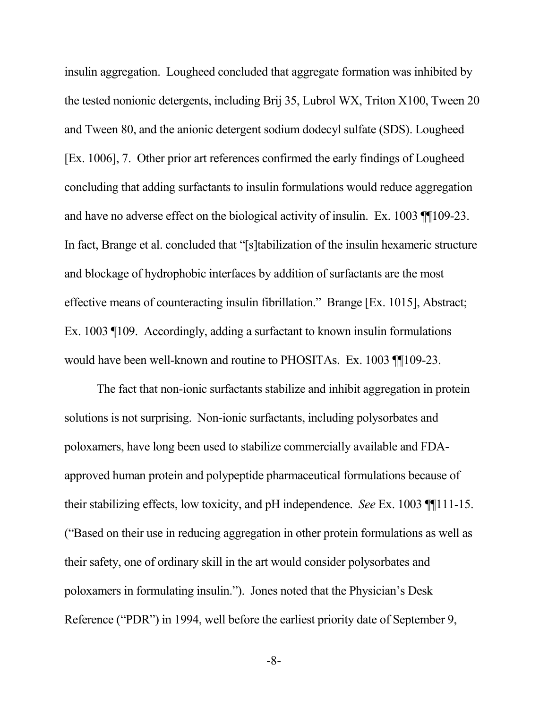insulin aggregation. Lougheed concluded that aggregate formation was inhibited by the tested nonionic detergents, including Brij 35, Lubrol WX, Triton X100, Tween 20 and Tween 80, and the anionic detergent sodium dodecyl sulfate (SDS). Lougheed [Ex. 1006], 7. Other prior art references confirmed the early findings of Lougheed concluding that adding surfactants to insulin formulations would reduce aggregation and have no adverse effect on the biological activity of insulin. Ex. 1003 ¶¶109-23. In fact, Brange et al. concluded that "[s]tabilization of the insulin hexameric structure and blockage of hydrophobic interfaces by addition of surfactants are the most effective means of counteracting insulin fibrillation." Brange [Ex. 1015], Abstract; Ex. 1003 ¶109. Accordingly, adding a surfactant to known insulin formulations would have been well-known and routine to PHOSITAs. Ex. 1003 ¶¶109-23.

The fact that non-ionic surfactants stabilize and inhibit aggregation in protein solutions is not surprising. Non-ionic surfactants, including polysorbates and poloxamers, have long been used to stabilize commercially available and FDAapproved human protein and polypeptide pharmaceutical formulations because of their stabilizing effects, low toxicity, and pH independence. *See* Ex. 1003 ¶¶111-15. ("Based on their use in reducing aggregation in other protein formulations as well as their safety, one of ordinary skill in the art would consider polysorbates and poloxamers in formulating insulin."). Jones noted that the Physician's Desk Reference ("PDR") in 1994, well before the earliest priority date of September 9,

-8-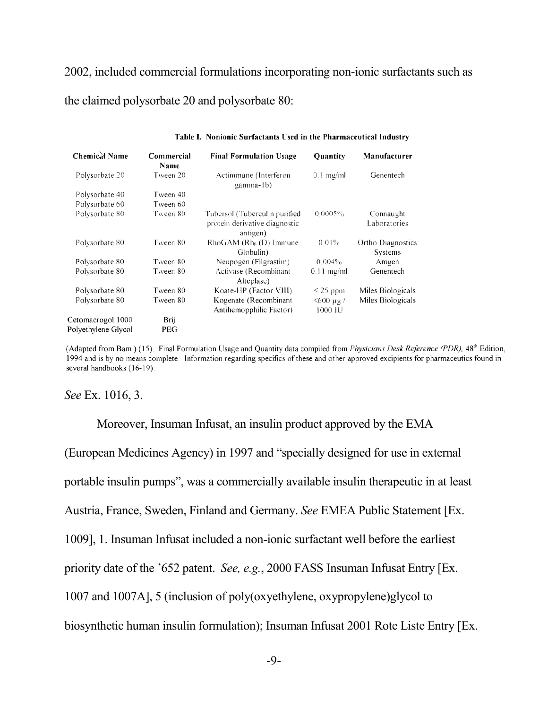2002, included commercial formulations incorporating non-ionic surfactants such as the claimed polysorbate 20 and polysorbate 80:

| <b>Chemical Name</b> | Commercial<br>Name | <b>Final Formulation Usage</b>                                             | <b>Quantity</b>         | Manufacturer                 |
|----------------------|--------------------|----------------------------------------------------------------------------|-------------------------|------------------------------|
| Polysorbate 20       | Tween 20           | Actimmune (Interferon<br>gamma-1b)                                         | $0.1$ mg/ml             | Genentech                    |
| Polysorbate 40       | Tween 40           |                                                                            |                         |                              |
| Polysorbate 60       | Tween 60           |                                                                            |                         |                              |
| Polysorbate 80       | Tween 80           | Tubersol (Tuberculin purified<br>protein derivative diagnostic<br>antigen) | 0.0005%                 | Connaught<br>Laboratories    |
| Polysorbate 80       | Tween 80           | $Rh$ o $GAM$ ( $Rh0$ (D) Immune<br>Globulin)                               | $0.01\%$                | Ortho Diagnostics<br>Systems |
| Polysorbate 80       | Tween 80           | Neupogen (Filgrastim)                                                      | 0.004%                  | Amgen                        |
| Polysorbate 80       | Tween 80           | Activase (Recombinant<br>Alteplase)                                        | $0.11$ mg/ml            | Genentech                    |
| Polysorbate 80       | Tween 80           | Koate-HP (Factor VIII)                                                     | $\leq$ 25 ppm           | Miles Biologicals            |
| Polysorbate 80       | Tween 80           | Kogenate (Recombinant<br>Antihemopphilic Factor)                           | $<$ 600 µg /<br>1000 IU | Miles Biologicals            |
| Cetomacrogol 1000    | Brij               |                                                                            |                         |                              |
| Polyethylene Glycol  | PEG                |                                                                            |                         |                              |

#### Table I. Nonionic Surfactants Used in the Pharmaceutical Industry

(Adapted from Bam) (15). Final Formulation Usage and Quantity data compiled from *Physicians Desk Reference (PDR)*, 48<sup>th</sup> Edition, 1994 and is by no means complete. Information regarding specifics of these and other approved excipients for pharmaceutics found in several handbooks (16-19).

#### *See* Ex. 1016, 3.

Moreover, Insuman Infusat, an insulin product approved by the EMA (European Medicines Agency) in 1997 and "specially designed for use in external portable insulin pumps", was a commercially available insulin therapeutic in at least Austria, France, Sweden, Finland and Germany. *See* EMEA Public Statement [Ex. 1009], 1. Insuman Infusat included a non-ionic surfactant well before the earliest priority date of the '652 patent. *See, e.g.*, 2000 FASS Insuman Infusat Entry [Ex. 1007 and 1007A], 5 (inclusion of poly(oxyethylene, oxypropylene)glycol to biosynthetic human insulin formulation); Insuman Infusat 2001 Rote Liste Entry [Ex.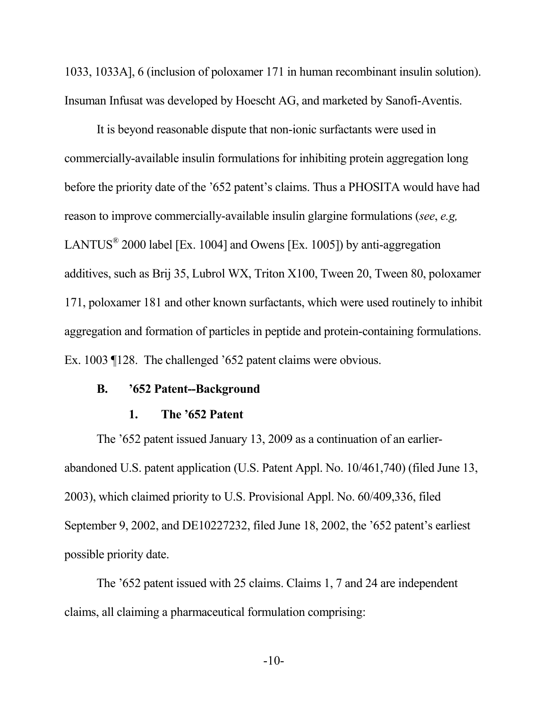1033, 1033A], 6 (inclusion of poloxamer 171 in human recombinant insulin solution). Insuman Infusat was developed by Hoescht AG, and marketed by Sanofi-Aventis.

It is beyond reasonable dispute that non-ionic surfactants were used in commercially-available insulin formulations for inhibiting protein aggregation long before the priority date of the '652 patent's claims. Thus a PHOSITA would have had reason to improve commercially-available insulin glargine formulations (*see*, *e.g,*  LANTUS<sup>®</sup> 2000 label [Ex. 1004] and Owens [Ex. 1005]) by anti-aggregation additives, such as Brij 35, Lubrol WX, Triton X100, Tween 20, Tween 80, poloxamer 171, poloxamer 181 and other known surfactants, which were used routinely to inhibit aggregation and formation of particles in peptide and protein-containing formulations. Ex. 1003 ¶128. The challenged '652 patent claims were obvious.

#### **B. '652 Patent--Background**

#### **1. The '652 Patent**

The '652 patent issued January 13, 2009 as a continuation of an earlierabandoned U.S. patent application (U.S. Patent Appl. No. 10/461,740) (filed June 13, 2003), which claimed priority to U.S. Provisional Appl. No. 60/409,336, filed September 9, 2002, and DE10227232, filed June 18, 2002, the '652 patent's earliest possible priority date.

The '652 patent issued with 25 claims. Claims 1, 7 and 24 are independent claims, all claiming a pharmaceutical formulation comprising: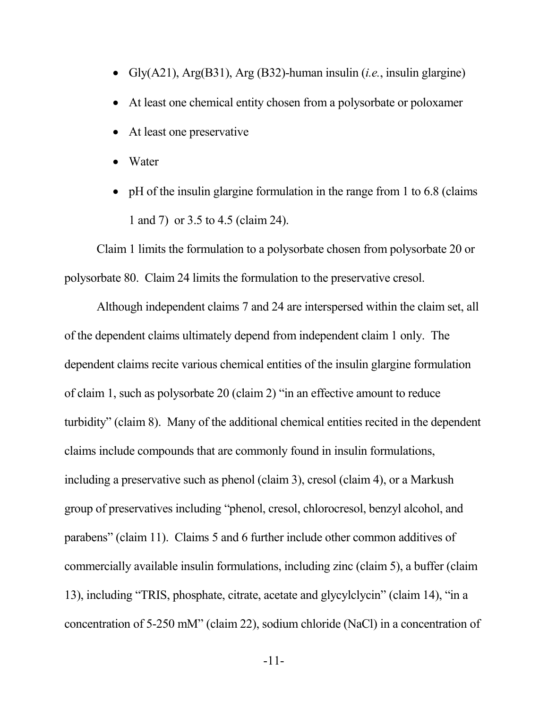- Gly(A21), Arg(B31), Arg (B32)-human insulin (*i.e.*, insulin glargine)
- At least one chemical entity chosen from a polysorbate or poloxamer
- At least one preservative
- Water
- pH of the insulin glargine formulation in the range from 1 to 6.8 (claims) 1 and 7) or 3.5 to 4.5 (claim 24).

Claim 1 limits the formulation to a polysorbate chosen from polysorbate 20 or polysorbate 80. Claim 24 limits the formulation to the preservative cresol.

Although independent claims 7 and 24 are interspersed within the claim set, all of the dependent claims ultimately depend from independent claim 1 only. The dependent claims recite various chemical entities of the insulin glargine formulation of claim 1, such as polysorbate 20 (claim 2) "in an effective amount to reduce turbidity" (claim 8). Many of the additional chemical entities recited in the dependent claims include compounds that are commonly found in insulin formulations, including a preservative such as phenol (claim 3), cresol (claim 4), or a Markush group of preservatives including "phenol, cresol, chlorocresol, benzyl alcohol, and parabens" (claim 11). Claims 5 and 6 further include other common additives of commercially available insulin formulations, including zinc (claim 5), a buffer (claim 13), including "TRIS, phosphate, citrate, acetate and glycylclycin" (claim 14), "in a concentration of 5-250 mM" (claim 22), sodium chloride (NaCl) in a concentration of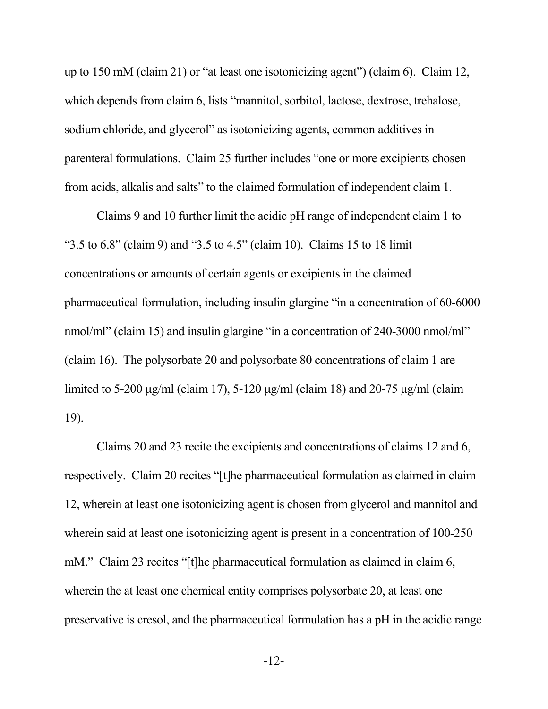up to 150 mM (claim 21) or "at least one isotonicizing agent") (claim 6). Claim 12, which depends from claim 6, lists "mannitol, sorbitol, lactose, dextrose, trehalose, sodium chloride, and glycerol" as isotonicizing agents, common additives in parenteral formulations. Claim 25 further includes "one or more excipients chosen from acids, alkalis and salts" to the claimed formulation of independent claim 1.

Claims 9 and 10 further limit the acidic pH range of independent claim 1 to "3.5 to 6.8" (claim 9) and "3.5 to 4.5" (claim 10). Claims 15 to 18 limit concentrations or amounts of certain agents or excipients in the claimed pharmaceutical formulation, including insulin glargine "in a concentration of 60-6000 nmol/ml" (claim 15) and insulin glargine "in a concentration of 240-3000 nmol/ml" (claim 16). The polysorbate 20 and polysorbate 80 concentrations of claim 1 are limited to 5-200 μg/ml (claim 17), 5-120 μg/ml (claim 18) and 20-75 μg/ml (claim 19).

Claims 20 and 23 recite the excipients and concentrations of claims 12 and 6, respectively. Claim 20 recites "[t]he pharmaceutical formulation as claimed in claim 12, wherein at least one isotonicizing agent is chosen from glycerol and mannitol and wherein said at least one isotonicizing agent is present in a concentration of 100-250 mM." Claim 23 recites "[t]he pharmaceutical formulation as claimed in claim 6, wherein the at least one chemical entity comprises polysorbate 20, at least one preservative is cresol, and the pharmaceutical formulation has a pH in the acidic range

-12-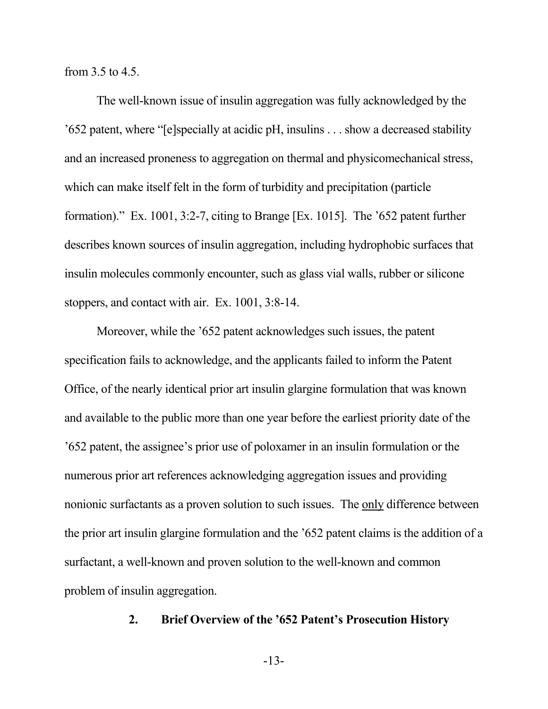from 3.5 to 4.5.

The well-known issue of insulin aggregation was fully acknowledged by the '652 patent, where "[e]specially at acidic pH, insulins . . . show a decreased stability and an increased proneness to aggregation on thermal and physicomechanical stress, which can make itself felt in the form of turbidity and precipitation (particle formation)." Ex. 1001, 3:2-7, citing to Brange [Ex. 1015]. The '652 patent further describes known sources of insulin aggregation, including hydrophobic surfaces that insulin molecules commonly encounter, such as glass vial walls, rubber or silicone stoppers, and contact with air. Ex. 1001, 3:8-14.

Moreover, while the '652 patent acknowledges such issues, the patent specification fails to acknowledge, and the applicants failed to inform the Patent Office, of the nearly identical prior art insulin glargine formulation that was known and available to the public more than one year before the earliest priority date of the '652 patent, the assignee's prior use of poloxamer in an insulin formulation or the numerous prior art references acknowledging aggregation issues and providing nonionic surfactants as a proven solution to such issues. The only difference between the prior art insulin glargine formulation and the '652 patent claims is the addition of a surfactant, a well-known and proven solution to the well-known and common problem of insulin aggregation.

#### **2. Brief Overview of the '652 Patent's Prosecution History**

-13-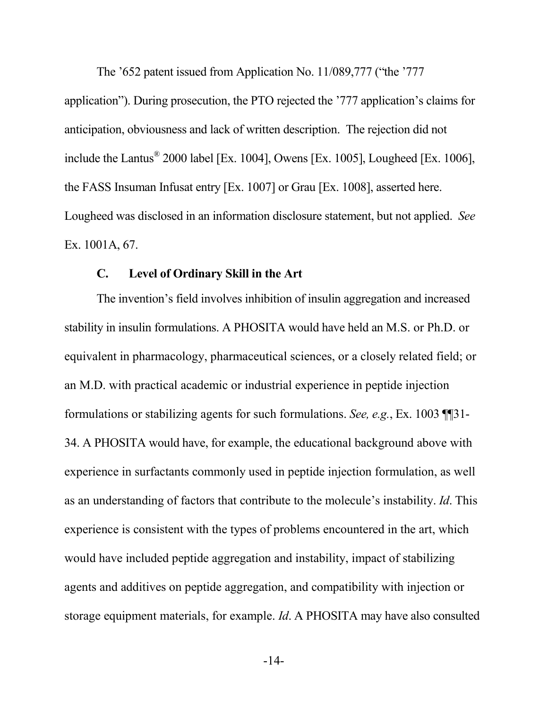The '652 patent issued from Application No. 11/089,777 ("the '777 application"). During prosecution, the PTO rejected the '777 application's claims for anticipation, obviousness and lack of written description. The rejection did not include the Lantus<sup>®</sup> 2000 label [Ex. 1004], Owens [Ex. 1005], Lougheed [Ex. 1006], the FASS Insuman Infusat entry [Ex. 1007] or Grau [Ex. 1008], asserted here. Lougheed was disclosed in an information disclosure statement, but not applied. *See*  Ex. 1001A, 67.

#### **C. Level of Ordinary Skill in the Art**

The invention's field involves inhibition of insulin aggregation and increased stability in insulin formulations. A PHOSITA would have held an M.S. or Ph.D. or equivalent in pharmacology, pharmaceutical sciences, or a closely related field; or an M.D. with practical academic or industrial experience in peptide injection formulations or stabilizing agents for such formulations. *See, e.g.*, Ex. 1003 ¶¶31- 34. A PHOSITA would have, for example, the educational background above with experience in surfactants commonly used in peptide injection formulation, as well as an understanding of factors that contribute to the molecule's instability. *Id*. This experience is consistent with the types of problems encountered in the art, which would have included peptide aggregation and instability, impact of stabilizing agents and additives on peptide aggregation, and compatibility with injection or storage equipment materials, for example. *Id*. A PHOSITA may have also consulted

-14-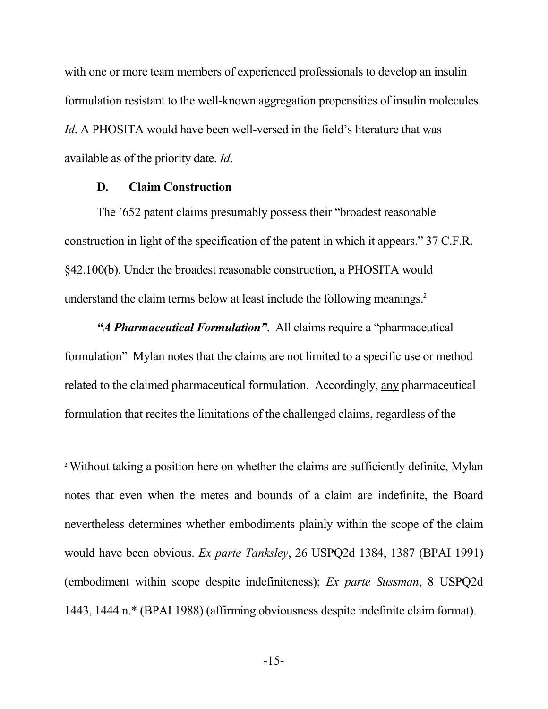with one or more team members of experienced professionals to develop an insulin formulation resistant to the well-known aggregation propensities of insulin molecules. *Id*. A PHOSITA would have been well-versed in the field's literature that was available as of the priority date. *Id*.

#### **D. Claim Construction**

The '652 patent claims presumably possess their "broadest reasonable construction in light of the specification of the patent in which it appears." 37 C.F.R. §42.100(b). Under the broadest reasonable construction, a PHOSITA would understand the claim terms below at least include the following meanings.<sup>2</sup>

*"A Pharmaceutical Formulation"*. All claims require a "pharmaceutical formulation" Mylan notes that the claims are not limited to a specific use or method related to the claimed pharmaceutical formulation. Accordingly, any pharmaceutical formulation that recites the limitations of the challenged claims, regardless of the

<sup>2</sup> Without taking a position here on whether the claims are sufficiently definite, Mylan notes that even when the metes and bounds of a claim are indefinite, the Board nevertheless determines whether embodiments plainly within the scope of the claim would have been obvious. *Ex parte Tanksley*, 26 USPQ2d 1384, 1387 (BPAI 1991) (embodiment within scope despite indefiniteness); *Ex parte Sussman*, 8 USPQ2d 1443, 1444 n.\* (BPAI 1988) (affirming obviousness despite indefinite claim format).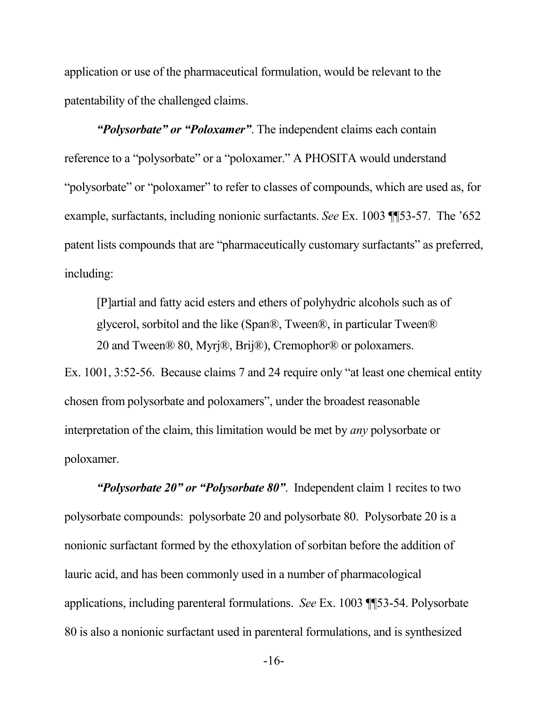application or use of the pharmaceutical formulation, would be relevant to the patentability of the challenged claims.

*"Polysorbate" or "Poloxamer"*. The independent claims each contain reference to a "polysorbate" or a "poloxamer." A PHOSITA would understand "polysorbate" or "poloxamer" to refer to classes of compounds, which are used as, for example, surfactants, including nonionic surfactants. *See* Ex. 1003 ¶¶53-57. The '652 patent lists compounds that are "pharmaceutically customary surfactants" as preferred, including:

[P]artial and fatty acid esters and ethers of polyhydric alcohols such as of glycerol, sorbitol and the like (Span®, Tween®, in particular Tween® 20 and Tween® 80, Myrj®, Brij®), Cremophor® or poloxamers.

Ex. 1001, 3:52-56. Because claims 7 and 24 require only "at least one chemical entity chosen from polysorbate and poloxamers", under the broadest reasonable interpretation of the claim, this limitation would be met by *any* polysorbate or poloxamer.

*"Polysorbate 20" or "Polysorbate 80"*. Independent claim 1 recites to two polysorbate compounds: polysorbate 20 and polysorbate 80. Polysorbate 20 is a nonionic surfactant formed by the ethoxylation of sorbitan before the addition of lauric acid, and has been commonly used in a number of pharmacological applications, including parenteral formulations. *See* Ex. 1003 ¶¶53-54. Polysorbate 80 is also a nonionic surfactant used in parenteral formulations, and is synthesized

-16-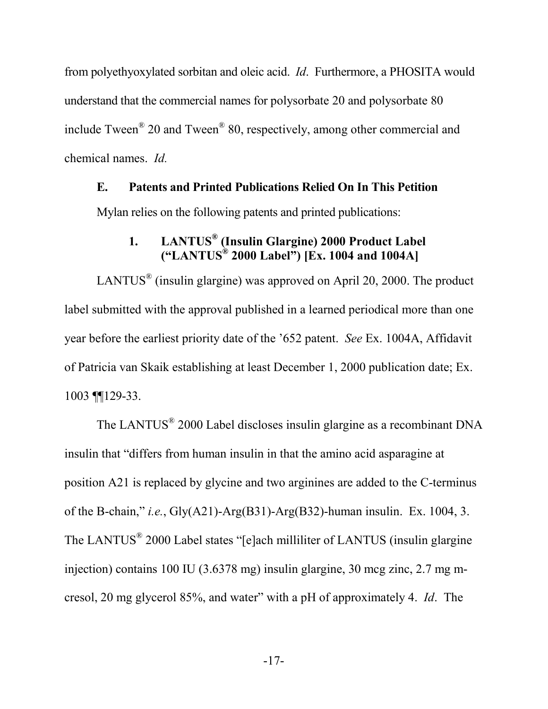from polyethyoxylated sorbitan and oleic acid. *Id*. Furthermore, a PHOSITA would understand that the commercial names for polysorbate 20 and polysorbate 80 include Tween<sup>®</sup> 20 and Tween<sup>®</sup> 80, respectively, among other commercial and chemical names. *Id.*

#### **E. Patents and Printed Publications Relied On In This Petition**

Mylan relies on the following patents and printed publications:

## **1. LANTUS® (Insulin Glargine) 2000 Product Label ("LANTUS® 2000 Label") [Ex. 1004 and 1004A]**

LANTUS<sup>®</sup> (insulin glargine) was approved on April 20, 2000. The product label submitted with the approval published in a learned periodical more than one year before the earliest priority date of the '652 patent. *See* Ex. 1004A, Affidavit of Patricia van Skaik establishing at least December 1, 2000 publication date; Ex. 1003 ¶¶129-33.

The LANTUS<sup>®</sup> 2000 Label discloses insulin glargine as a recombinant DNA insulin that "differs from human insulin in that the amino acid asparagine at position A21 is replaced by glycine and two arginines are added to the C-terminus of the B-chain," *i.e.*, Gly(A21)-Arg(B31)-Arg(B32)-human insulin. Ex. 1004, 3. The LANTUS<sup>®</sup> 2000 Label states "[e]ach milliliter of LANTUS (insulin glargine injection) contains 100 IU (3.6378 mg) insulin glargine, 30 mcg zinc, 2.7 mg mcresol, 20 mg glycerol 85%, and water" with a pH of approximately 4. *Id*. The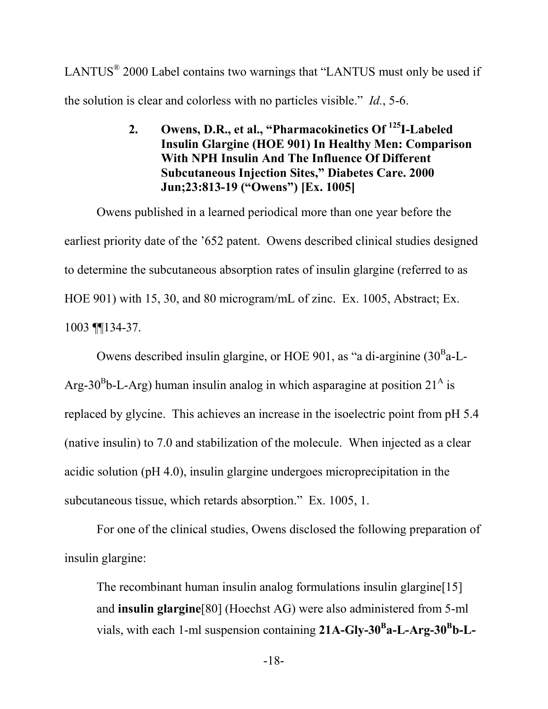LANTUS $^{\circ}$  2000 Label contains two warnings that "LANTUS must only be used if the solution is clear and colorless with no particles visible." *Id.*, 5-6.

> **2. Owens, D.R., et al., "Pharmacokinetics Of <sup>125</sup>I-Labeled Insulin Glargine (HOE 901) In Healthy Men: Comparison With NPH Insulin And The Influence Of Different Subcutaneous Injection Sites," Diabetes Care. 2000 Jun;23:813-19 ("Owens") [Ex. 1005]**

Owens published in a learned periodical more than one year before the earliest priority date of the '652 patent. Owens described clinical studies designed to determine the subcutaneous absorption rates of insulin glargine (referred to as HOE 901) with 15, 30, and 80 microgram/mL of zinc. Ex. 1005, Abstract; Ex. 1003 ¶¶134-37.

Owens described insulin glargine, or HOE 901, as "a di-arginine  $(30^{\text{B}}a - L -$ Arg-30<sup>B</sup>b-L-Arg) human insulin analog in which asparagine at position  $21^{\text{A}}$  is replaced by glycine. This achieves an increase in the isoelectric point from pH 5.4 (native insulin) to 7.0 and stabilization of the molecule. When injected as a clear acidic solution (pH 4.0), insulin glargine undergoes microprecipitation in the subcutaneous tissue, which retards absorption." Ex. 1005, 1.

For one of the clinical studies, Owens disclosed the following preparation of insulin glargine:

The recombinant human insulin analog formulations insulin glargine [15] and **insulin glargine**[80] (Hoechst AG) were also administered from 5-ml vials, with each 1-ml suspension containing **21A-Gly-30<sup>B</sup> a-L-Arg-30<sup>B</sup> b-L-**

-18-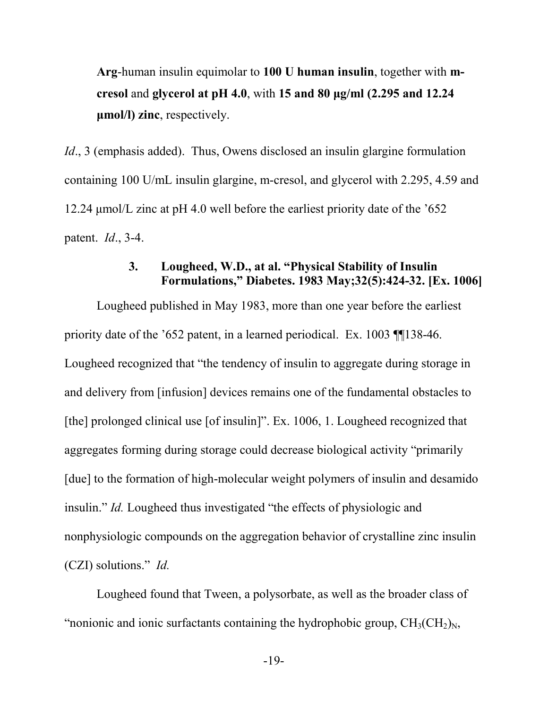**Arg**-human insulin equimolar to **100 U human insulin**, together with **mcresol** and **glycerol at pH 4.0**, with **15 and 80 μg/ml (2.295 and 12.24 μmol/l) zinc**, respectively.

*Id.*, 3 (emphasis added). Thus, Owens disclosed an insulin glargine formulation containing 100 U/mL insulin glargine, m-cresol, and glycerol with 2.295, 4.59 and 12.24 μmol/L zinc at pH 4.0 well before the earliest priority date of the '652 patent. *Id*., 3-4.

### **3. Lougheed, W.D., at al. "Physical Stability of Insulin Formulations," Diabetes. 1983 May;32(5):424-32. [Ex. 1006]**

Lougheed published in May 1983, more than one year before the earliest priority date of the '652 patent, in a learned periodical. Ex. 1003 ¶¶138-46. Lougheed recognized that "the tendency of insulin to aggregate during storage in and delivery from [infusion] devices remains one of the fundamental obstacles to [the] prolonged clinical use [of insulin]". Ex. 1006, 1. Lougheed recognized that aggregates forming during storage could decrease biological activity "primarily [due] to the formation of high-molecular weight polymers of insulin and desamido insulin." *Id.* Lougheed thus investigated "the effects of physiologic and nonphysiologic compounds on the aggregation behavior of crystalline zinc insulin (CZI) solutions." *Id.*

Lougheed found that Tween, a polysorbate, as well as the broader class of "nonionic and ionic surfactants containing the hydrophobic group,  $CH_3(CH_2)<sub>N</sub>$ ,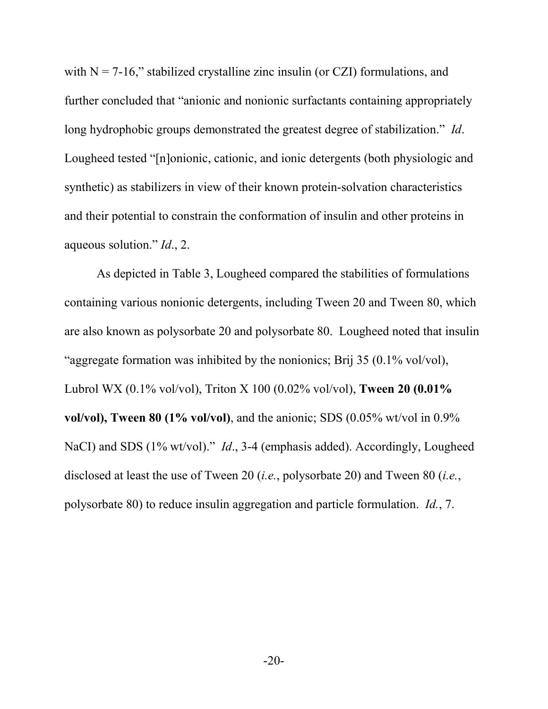with  $N = 7-16$ ," stabilized crystalline zinc insulin (or CZI) formulations, and further concluded that "anionic and nonionic surfactants containing appropriately long hydrophobic groups demonstrated the greatest degree of stabilization." *Id*. Lougheed tested "[n]onionic, cationic, and ionic detergents (both physiologic and synthetic) as stabilizers in view of their known protein-solvation characteristics and their potential to constrain the conformation of insulin and other proteins in aqueous solution." *Id*., 2.

As depicted in Table 3, Lougheed compared the stabilities of formulations containing various nonionic detergents, including Tween 20 and Tween 80, which are also known as polysorbate 20 and polysorbate 80. Lougheed noted that insulin "aggregate formation was inhibited by the nonionics; Brij 35 (0.1% vol/vol), Lubrol WX (0.1% vol/vol), Triton X 100 (0.02% vol/vol), **Tween 20 (0.01% vol/vol), Tween 80 (1% vol/vol)**, and the anionic; SDS (0.05% wt/vol in 0.9% NaCI) and SDS (1% wt/vol)." *Id*., 3-4 (emphasis added). Accordingly, Lougheed disclosed at least the use of Tween 20 (*i.e.*, polysorbate 20) and Tween 80 (*i.e.*, polysorbate 80) to reduce insulin aggregation and particle formulation. *Id.*, 7.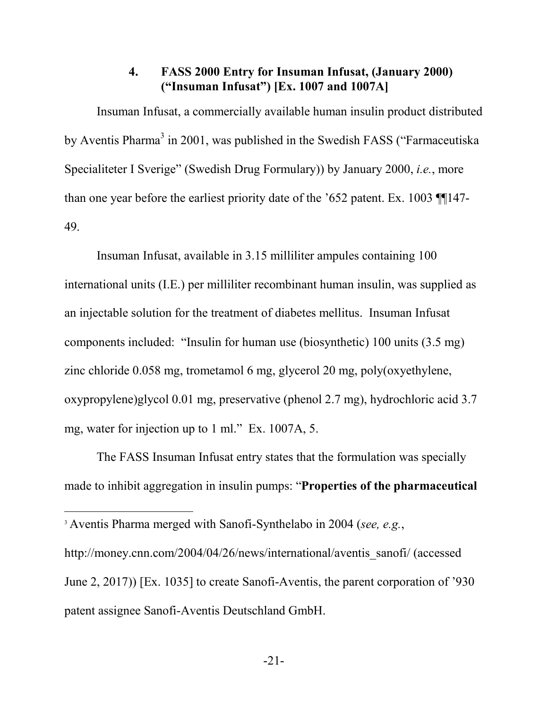#### **4. FASS 2000 Entry for Insuman Infusat, (January 2000) ("Insuman Infusat") [Ex. 1007 and 1007A]**

Insuman Infusat, a commercially available human insulin product distributed by Aventis Pharma<sup>3</sup> in 2001, was published in the Swedish FASS ("Farmaceutiska") Specialiteter I Sverige" (Swedish Drug Formulary)) by January 2000, *i.e.*, more than one year before the earliest priority date of the '652 patent. Ex. 1003 ¶¶147- 49.

Insuman Infusat, available in 3.15 milliliter ampules containing 100 international units (I.E.) per milliliter recombinant human insulin, was supplied as an injectable solution for the treatment of diabetes mellitus. Insuman Infusat components included: "Insulin for human use (biosynthetic) 100 units (3.5 mg) zinc chloride 0.058 mg, trometamol 6 mg, glycerol 20 mg, poly(oxyethylene, oxypropylene)glycol 0.01 mg, preservative (phenol 2.7 mg), hydrochloric acid 3.7 mg, water for injection up to 1 ml." Ex. 1007A, 5.

The FASS Insuman Infusat entry states that the formulation was specially made to inhibit aggregation in insulin pumps: "**Properties of the pharmaceutical** 

<sup>3</sup> Aventis Pharma merged with Sanofi-Synthelabo in 2004 (*see, e.g.*,

http://money.cnn.com/2004/04/26/news/international/aventis\_sanofi/ (accessed June 2, 2017)) [Ex. 1035] to create Sanofi-Aventis, the parent corporation of '930 patent assignee Sanofi-Aventis Deutschland GmbH.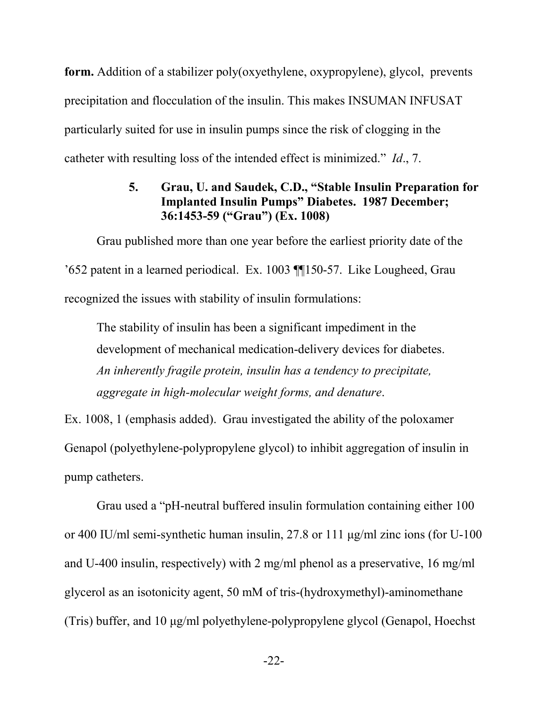**form.** Addition of a stabilizer poly(oxyethylene, oxypropylene), glycol, prevents precipitation and flocculation of the insulin. This makes INSUMAN INFUSAT particularly suited for use in insulin pumps since the risk of clogging in the catheter with resulting loss of the intended effect is minimized." *Id*., 7.

## **5. Grau, U. and Saudek, C.D., "Stable Insulin Preparation for Implanted Insulin Pumps" Diabetes. 1987 December; 36:1453-59 ("Grau") (Ex. 1008)**

Grau published more than one year before the earliest priority date of the '652 patent in a learned periodical. Ex. 1003 ¶¶150-57. Like Lougheed, Grau recognized the issues with stability of insulin formulations:

The stability of insulin has been a significant impediment in the development of mechanical medication-delivery devices for diabetes. *An inherently fragile protein, insulin has a tendency to precipitate, aggregate in high-molecular weight forms, and denature*.

Ex. 1008, 1 (emphasis added). Grau investigated the ability of the poloxamer Genapol (polyethylene-polypropylene glycol) to inhibit aggregation of insulin in pump catheters.

Grau used a "pH-neutral buffered insulin formulation containing either 100 or 400 IU/ml semi-synthetic human insulin, 27.8 or 111 μg/ml zinc ions (for U-100 and U-400 insulin, respectively) with 2 mg/ml phenol as a preservative, 16 mg/ml glycerol as an isotonicity agent, 50 mM of tris-(hydroxymethyl)-aminomethane (Tris) buffer, and 10 μg/ml polyethylene-polypropylene glycol (Genapol, Hoechst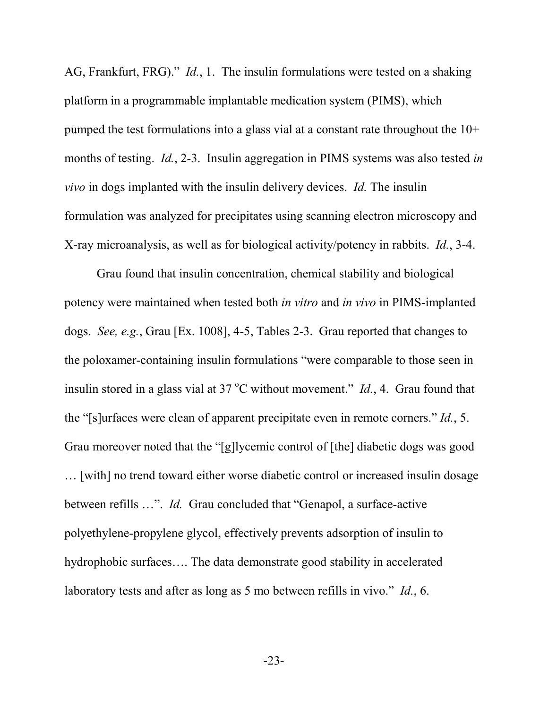AG, Frankfurt, FRG)." *Id.*, 1. The insulin formulations were tested on a shaking platform in a programmable implantable medication system (PIMS), which pumped the test formulations into a glass vial at a constant rate throughout the 10+ months of testing. *Id.*, 2-3. Insulin aggregation in PIMS systems was also tested *in vivo* in dogs implanted with the insulin delivery devices. *Id.* The insulin formulation was analyzed for precipitates using scanning electron microscopy and X-ray microanalysis, as well as for biological activity/potency in rabbits. *Id.*, 3-4.

Grau found that insulin concentration, chemical stability and biological potency were maintained when tested both *in vitro* and *in vivo* in PIMS-implanted dogs. *See, e.g.*, Grau [Ex. 1008], 4-5, Tables 2-3. Grau reported that changes to the poloxamer-containing insulin formulations "were comparable to those seen in insulin stored in a glass vial at  $37^{\circ}$ C without movement." *Id.*, 4. Grau found that the "[s]urfaces were clean of apparent precipitate even in remote corners." *Id.*, 5. Grau moreover noted that the "[g]lycemic control of [the] diabetic dogs was good … [with] no trend toward either worse diabetic control or increased insulin dosage between refills …". *Id.* Grau concluded that "Genapol, a surface-active polyethylene-propylene glycol, effectively prevents adsorption of insulin to hydrophobic surfaces…. The data demonstrate good stability in accelerated laboratory tests and after as long as 5 mo between refills in vivo." *Id.*, 6.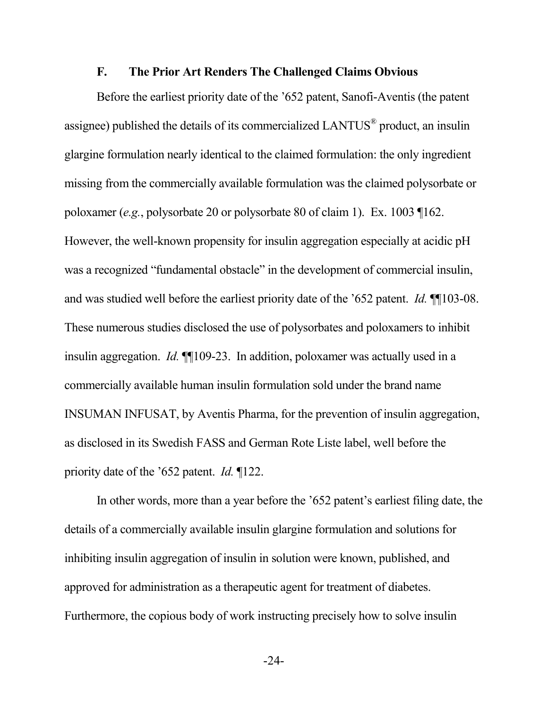#### **F. The Prior Art Renders The Challenged Claims Obvious**

Before the earliest priority date of the '652 patent, Sanofi-Aventis (the patent assignee) published the details of its commercialized LANTUS<sup>®</sup> product, an insulin glargine formulation nearly identical to the claimed formulation: the only ingredient missing from the commercially available formulation was the claimed polysorbate or poloxamer (*e.g.*, polysorbate 20 or polysorbate 80 of claim 1). Ex. 1003 ¶162. However, the well-known propensity for insulin aggregation especially at acidic pH was a recognized "fundamental obstacle" in the development of commercial insulin, and was studied well before the earliest priority date of the '652 patent. *Id.* ¶¶103-08. These numerous studies disclosed the use of polysorbates and poloxamers to inhibit insulin aggregation. *Id.* ¶¶109-23. In addition, poloxamer was actually used in a commercially available human insulin formulation sold under the brand name INSUMAN INFUSAT, by Aventis Pharma, for the prevention of insulin aggregation, as disclosed in its Swedish FASS and German Rote Liste label, well before the priority date of the '652 patent. *Id.* ¶122.

In other words, more than a year before the '652 patent's earliest filing date, the details of a commercially available insulin glargine formulation and solutions for inhibiting insulin aggregation of insulin in solution were known, published, and approved for administration as a therapeutic agent for treatment of diabetes. Furthermore, the copious body of work instructing precisely how to solve insulin

-24-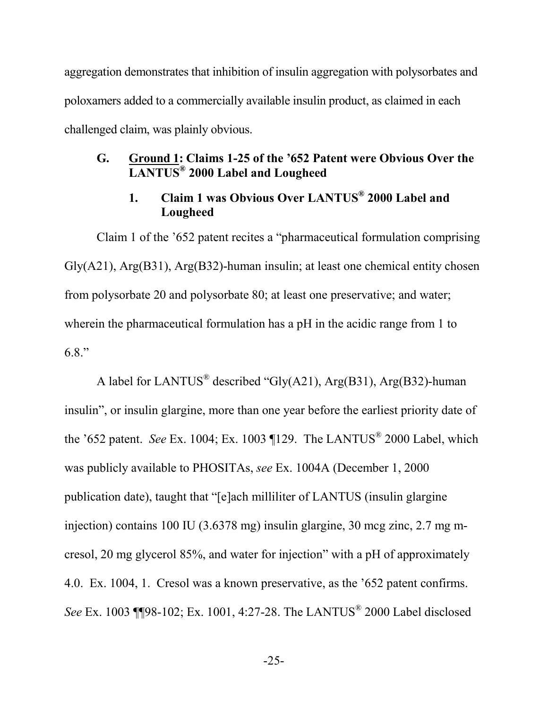aggregation demonstrates that inhibition of insulin aggregation with polysorbates and poloxamers added to a commercially available insulin product, as claimed in each challenged claim, was plainly obvious.

### **G. Ground 1: Claims 1-25 of the '652 Patent were Obvious Over the LANTUS® 2000 Label and Lougheed**

## **1. Claim 1 was Obvious Over LANTUS® 2000 Label and Lougheed**

Claim 1 of the '652 patent recites a "pharmaceutical formulation comprising Gly(A21), Arg(B31), Arg(B32)-human insulin; at least one chemical entity chosen from polysorbate 20 and polysorbate 80; at least one preservative; and water; wherein the pharmaceutical formulation has a pH in the acidic range from 1 to 6.8."

A label for LANTUS<sup>®</sup> described "Gly(A21), Arg(B31), Arg(B32)-human insulin", or insulin glargine, more than one year before the earliest priority date of the '652 patent. *See* Ex. 1004; Ex. 1003 ¶129. The LANTUS® 2000 Label, which was publicly available to PHOSITAs, *see* Ex. 1004A (December 1, 2000 publication date), taught that "[e]ach milliliter of LANTUS (insulin glargine injection) contains 100 IU (3.6378 mg) insulin glargine, 30 mcg zinc, 2.7 mg mcresol, 20 mg glycerol 85%, and water for injection" with a pH of approximately 4.0. Ex. 1004, 1. Cresol was a known preservative, as the '652 patent confirms. *See* Ex. 1003 ¶¶98-102; Ex. 1001, 4:27-28. The LANTUS® 2000 Label disclosed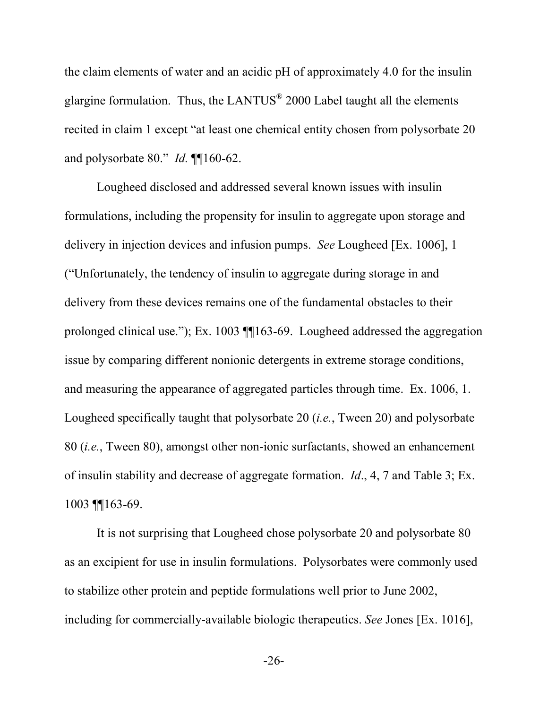the claim elements of water and an acidic pH of approximately 4.0 for the insulin glargine formulation. Thus, the LANTUS $^{\circ}$  2000 Label taught all the elements recited in claim 1 except "at least one chemical entity chosen from polysorbate 20 and polysorbate 80." *Id.* ¶¶160-62.

Lougheed disclosed and addressed several known issues with insulin formulations, including the propensity for insulin to aggregate upon storage and delivery in injection devices and infusion pumps. *See* Lougheed [Ex. 1006], 1 ("Unfortunately, the tendency of insulin to aggregate during storage in and delivery from these devices remains one of the fundamental obstacles to their prolonged clinical use."); Ex. 1003 ¶¶163-69. Lougheed addressed the aggregation issue by comparing different nonionic detergents in extreme storage conditions, and measuring the appearance of aggregated particles through time. Ex. 1006, 1. Lougheed specifically taught that polysorbate 20 (*i.e.*, Tween 20) and polysorbate 80 (*i.e.*, Tween 80), amongst other non-ionic surfactants, showed an enhancement of insulin stability and decrease of aggregate formation. *Id*., 4, 7 and Table 3; Ex. 1003 ¶¶163-69.

It is not surprising that Lougheed chose polysorbate 20 and polysorbate 80 as an excipient for use in insulin formulations. Polysorbates were commonly used to stabilize other protein and peptide formulations well prior to June 2002, including for commercially-available biologic therapeutics. *See* Jones [Ex. 1016],

-26-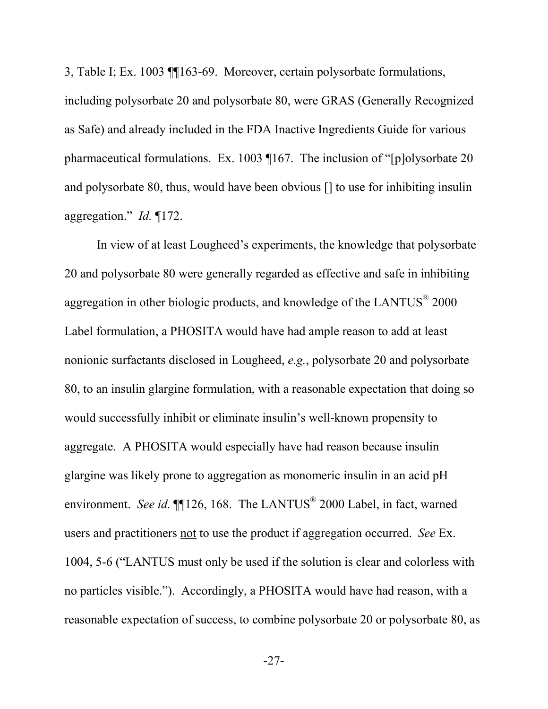3, Table I; Ex. 1003 ¶¶163-69. Moreover, certain polysorbate formulations, including polysorbate 20 and polysorbate 80, were GRAS (Generally Recognized as Safe) and already included in the FDA Inactive Ingredients Guide for various pharmaceutical formulations. Ex. 1003 ¶167. The inclusion of "[p]olysorbate 20 and polysorbate 80, thus, would have been obvious [] to use for inhibiting insulin aggregation." *Id.* ¶172.

In view of at least Lougheed's experiments, the knowledge that polysorbate 20 and polysorbate 80 were generally regarded as effective and safe in inhibiting aggregation in other biologic products, and knowledge of the LANTUS $^{\circ}$  2000 Label formulation, a PHOSITA would have had ample reason to add at least nonionic surfactants disclosed in Lougheed, *e.g.*, polysorbate 20 and polysorbate 80, to an insulin glargine formulation, with a reasonable expectation that doing so would successfully inhibit or eliminate insulin's well-known propensity to aggregate. A PHOSITA would especially have had reason because insulin glargine was likely prone to aggregation as monomeric insulin in an acid pH environment. *See id*. **[14.**] [126, 168. The LANTUS<sup>®</sup> 2000 Label, in fact, warned users and practitioners not to use the product if aggregation occurred. *See* Ex. 1004, 5-6 ("LANTUS must only be used if the solution is clear and colorless with no particles visible."). Accordingly, a PHOSITA would have had reason, with a reasonable expectation of success, to combine polysorbate 20 or polysorbate 80, as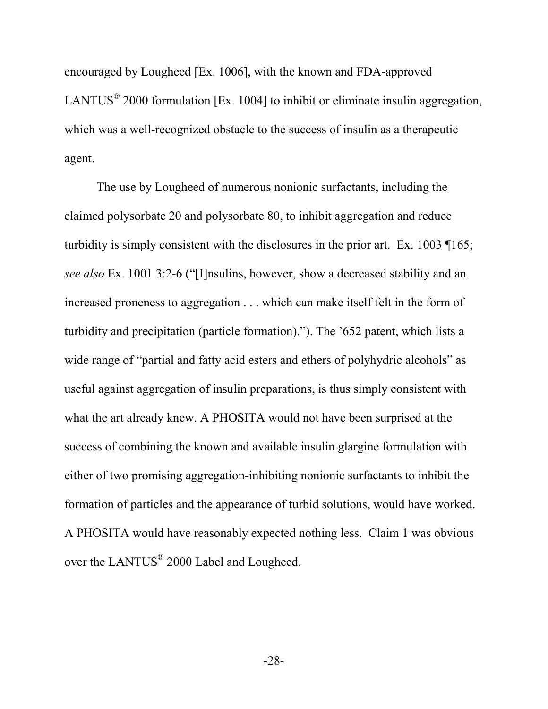encouraged by Lougheed [Ex. 1006], with the known and FDA-approved LANTUS<sup>®</sup> 2000 formulation [Ex. 1004] to inhibit or eliminate insulin aggregation, which was a well-recognized obstacle to the success of insulin as a therapeutic agent.

The use by Lougheed of numerous nonionic surfactants, including the claimed polysorbate 20 and polysorbate 80, to inhibit aggregation and reduce turbidity is simply consistent with the disclosures in the prior art. Ex. 1003 ¶165; *see also* Ex. 1001 3:2-6 ("[I]nsulins, however, show a decreased stability and an increased proneness to aggregation . . . which can make itself felt in the form of turbidity and precipitation (particle formation)."). The '652 patent, which lists a wide range of "partial and fatty acid esters and ethers of polyhydric alcohols" as useful against aggregation of insulin preparations, is thus simply consistent with what the art already knew. A PHOSITA would not have been surprised at the success of combining the known and available insulin glargine formulation with either of two promising aggregation-inhibiting nonionic surfactants to inhibit the formation of particles and the appearance of turbid solutions, would have worked. A PHOSITA would have reasonably expected nothing less. Claim 1 was obvious over the LANTUS<sup>®</sup> 2000 Label and Lougheed.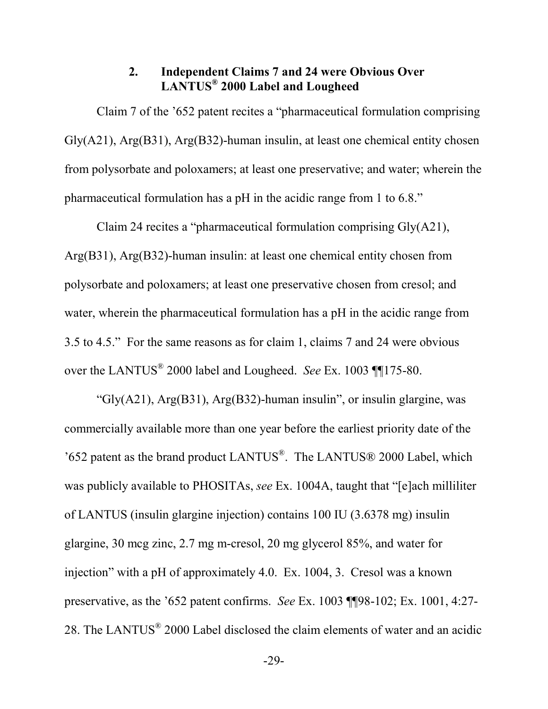### **2. Independent Claims 7 and 24 were Obvious Over LANTUS® 2000 Label and Lougheed**

Claim 7 of the '652 patent recites a "pharmaceutical formulation comprising Gly(A21), Arg(B31), Arg(B32)-human insulin, at least one chemical entity chosen from polysorbate and poloxamers; at least one preservative; and water; wherein the pharmaceutical formulation has a pH in the acidic range from 1 to 6.8."

Claim 24 recites a "pharmaceutical formulation comprising Gly(A21), Arg(B31), Arg(B32)-human insulin: at least one chemical entity chosen from polysorbate and poloxamers; at least one preservative chosen from cresol; and water, wherein the pharmaceutical formulation has a pH in the acidic range from 3.5 to 4.5." For the same reasons as for claim 1, claims 7 and 24 were obvious over the LANTUS® 2000 label and Lougheed. *See* Ex. 1003 ¶¶175-80.

"Gly(A21), Arg(B31), Arg(B32)-human insulin", or insulin glargine, was commercially available more than one year before the earliest priority date of the '652 patent as the brand product LANTUS® . The LANTUS® 2000 Label, which was publicly available to PHOSITAs, *see* Ex. 1004A, taught that "[e]ach milliliter of LANTUS (insulin glargine injection) contains 100 IU (3.6378 mg) insulin glargine, 30 mcg zinc, 2.7 mg m-cresol, 20 mg glycerol 85%, and water for injection" with a pH of approximately 4.0. Ex. 1004, 3. Cresol was a known preservative, as the '652 patent confirms. *See* Ex. 1003 ¶¶98-102; Ex. 1001, 4:27- 28. The LANTUS<sup>®</sup> 2000 Label disclosed the claim elements of water and an acidic

-29-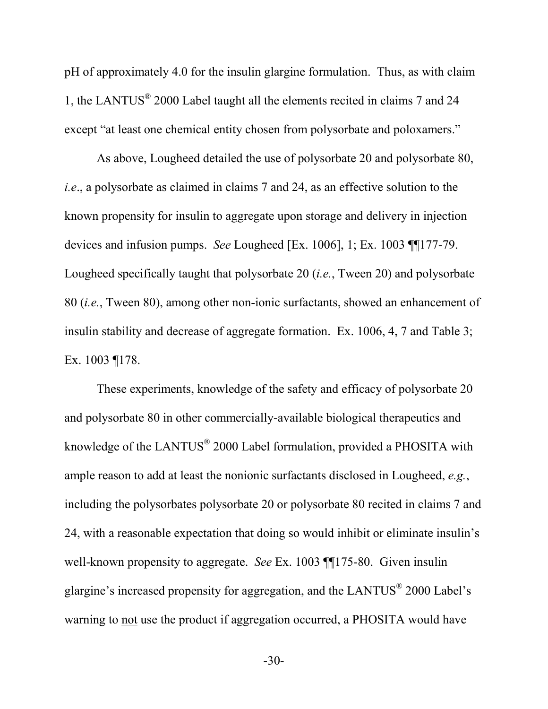pH of approximately 4.0 for the insulin glargine formulation. Thus, as with claim 1, the LANTUS® 2000 Label taught all the elements recited in claims 7 and 24 except "at least one chemical entity chosen from polysorbate and poloxamers."

As above, Lougheed detailed the use of polysorbate 20 and polysorbate 80, *i.e*., a polysorbate as claimed in claims 7 and 24, as an effective solution to the known propensity for insulin to aggregate upon storage and delivery in injection devices and infusion pumps. *See* Lougheed [Ex. 1006], 1; Ex. 1003 ¶¶177-79. Lougheed specifically taught that polysorbate 20 (*i.e.*, Tween 20) and polysorbate 80 (*i.e.*, Tween 80), among other non-ionic surfactants, showed an enhancement of insulin stability and decrease of aggregate formation. Ex. 1006, 4, 7 and Table 3; Ex. 1003 ¶178.

These experiments, knowledge of the safety and efficacy of polysorbate 20 and polysorbate 80 in other commercially-available biological therapeutics and knowledge of the LANTUS<sup>®</sup> 2000 Label formulation, provided a PHOSITA with ample reason to add at least the nonionic surfactants disclosed in Lougheed, *e.g.*, including the polysorbates polysorbate 20 or polysorbate 80 recited in claims 7 and 24, with a reasonable expectation that doing so would inhibit or eliminate insulin's well-known propensity to aggregate. *See* Ex. 1003 ¶¶175-80. Given insulin glargine's increased propensity for aggregation, and the LANTUS<sup>®</sup> 2000 Label's warning to not use the product if aggregation occurred, a PHOSITA would have

-30-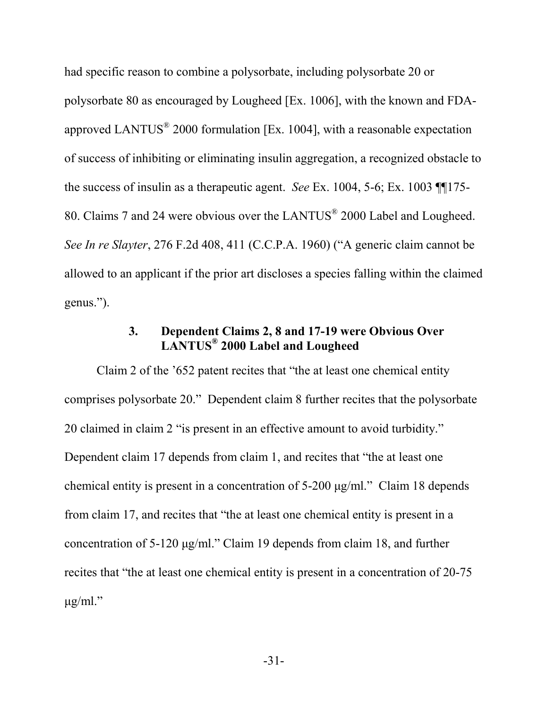had specific reason to combine a polysorbate, including polysorbate 20 or polysorbate 80 as encouraged by Lougheed [Ex. 1006], with the known and FDAapproved LANTUS<sup>®</sup> 2000 formulation [Ex. 1004], with a reasonable expectation of success of inhibiting or eliminating insulin aggregation, a recognized obstacle to the success of insulin as a therapeutic agent. *See* Ex. 1004, 5-6; Ex. 1003 ¶¶175- 80. Claims 7 and 24 were obvious over the LANTUS<sup>®</sup> 2000 Label and Lougheed. *See In re Slayter*, 276 F.2d 408, 411 (C.C.P.A. 1960) ("A generic claim cannot be allowed to an applicant if the prior art discloses a species falling within the claimed genus.").

#### **3. Dependent Claims 2, 8 and 17-19 were Obvious Over LANTUS® 2000 Label and Lougheed**

Claim 2 of the '652 patent recites that "the at least one chemical entity comprises polysorbate 20." Dependent claim 8 further recites that the polysorbate 20 claimed in claim 2 "is present in an effective amount to avoid turbidity." Dependent claim 17 depends from claim 1, and recites that "the at least one chemical entity is present in a concentration of 5-200 μg/ml." Claim 18 depends from claim 17, and recites that "the at least one chemical entity is present in a concentration of 5-120 μg/ml." Claim 19 depends from claim 18, and further recites that "the at least one chemical entity is present in a concentration of 20-75  $\mu$ g/ml."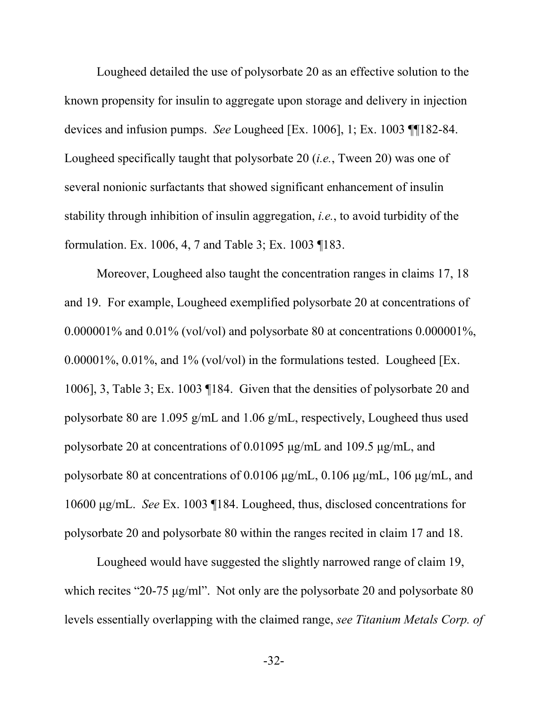Lougheed detailed the use of polysorbate 20 as an effective solution to the known propensity for insulin to aggregate upon storage and delivery in injection devices and infusion pumps. *See* Lougheed [Ex. 1006], 1; Ex. 1003 ¶¶182-84. Lougheed specifically taught that polysorbate 20 (*i.e.*, Tween 20) was one of several nonionic surfactants that showed significant enhancement of insulin stability through inhibition of insulin aggregation, *i.e.*, to avoid turbidity of the formulation. Ex. 1006, 4, 7 and Table 3; Ex. 1003 ¶183.

Moreover, Lougheed also taught the concentration ranges in claims 17, 18 and 19. For example, Lougheed exemplified polysorbate 20 at concentrations of 0.000001% and 0.01% (vol/vol) and polysorbate 80 at concentrations 0.000001%, 0.00001%, 0.01%, and 1% (vol/vol) in the formulations tested. Lougheed [Ex. 1006], 3, Table 3; Ex. 1003 ¶184. Given that the densities of polysorbate 20 and polysorbate 80 are 1.095 g/mL and 1.06 g/mL, respectively, Lougheed thus used polysorbate 20 at concentrations of 0.01095 μg/mL and 109.5 μg/mL, and polysorbate 80 at concentrations of 0.0106 μg/mL, 0.106 μg/mL, 106 μg/mL, and 10600 μg/mL. *See* Ex. 1003 ¶184. Lougheed, thus, disclosed concentrations for polysorbate 20 and polysorbate 80 within the ranges recited in claim 17 and 18.

Lougheed would have suggested the slightly narrowed range of claim 19, which recites "20-75 μg/ml". Not only are the polysorbate 20 and polysorbate 80 levels essentially overlapping with the claimed range, *see Titanium Metals Corp. of* 

-32-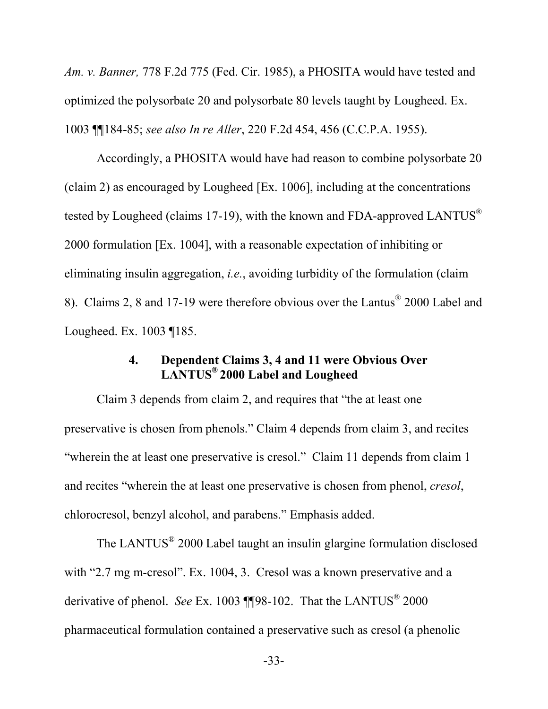*Am. v. Banner,* 778 F.2d 775 (Fed. Cir. 1985), a PHOSITA would have tested and optimized the polysorbate 20 and polysorbate 80 levels taught by Lougheed. Ex. 1003 ¶¶184-85; *see also In re Aller*, 220 F.2d 454, 456 (C.C.P.A. 1955).

Accordingly, a PHOSITA would have had reason to combine polysorbate 20 (claim 2) as encouraged by Lougheed [Ex. 1006], including at the concentrations tested by Lougheed (claims 17-19), with the known and FDA-approved LANTUS® 2000 formulation [Ex. 1004], with a reasonable expectation of inhibiting or eliminating insulin aggregation, *i.e.*, avoiding turbidity of the formulation (claim 8). Claims 2, 8 and 17-19 were therefore obvious over the Lantus® 2000 Label and Lougheed. Ex. 1003 ¶185.

#### **4. Dependent Claims 3, 4 and 11 were Obvious Over LANTUS® 2000 Label and Lougheed**

Claim 3 depends from claim 2, and requires that "the at least one preservative is chosen from phenols." Claim 4 depends from claim 3, and recites "wherein the at least one preservative is cresol." Claim 11 depends from claim 1 and recites "wherein the at least one preservative is chosen from phenol, *cresol*, chlorocresol, benzyl alcohol, and parabens." Emphasis added.

The LANTUS<sup>®</sup> 2000 Label taught an insulin glargine formulation disclosed with "2.7 mg m-cresol". Ex. 1004, 3. Cresol was a known preservative and a derivative of phenol. *See* Ex. 1003 **[**[98-102. That the LANTUS<sup>®</sup> 2000 pharmaceutical formulation contained a preservative such as cresol (a phenolic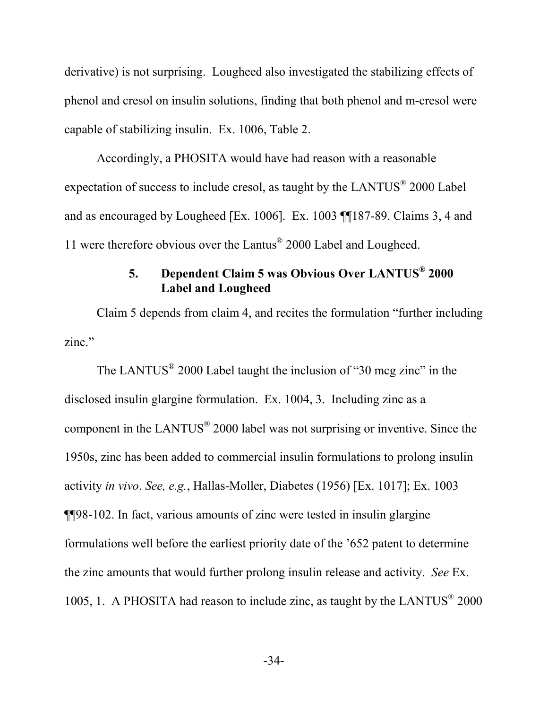derivative) is not surprising. Lougheed also investigated the stabilizing effects of phenol and cresol on insulin solutions, finding that both phenol and m-cresol were capable of stabilizing insulin. Ex. 1006, Table 2.

Accordingly, a PHOSITA would have had reason with a reasonable expectation of success to include cresol, as taught by the LANTUS $^{\circ}$  2000 Label and as encouraged by Lougheed [Ex. 1006]. Ex. 1003 ¶¶187-89. Claims 3, 4 and 11 were therefore obvious over the Lantus® 2000 Label and Lougheed.

## **5. Dependent Claim 5 was Obvious Over LANTUS® 2000 Label and Lougheed**

Claim 5 depends from claim 4, and recites the formulation "further including zinc."

The LANTUS $^{\circ}$  2000 Label taught the inclusion of "30 mcg zinc" in the disclosed insulin glargine formulation. Ex. 1004, 3. Including zinc as a component in the LANTUS $^{\circ}$  2000 label was not surprising or inventive. Since the 1950s, zinc has been added to commercial insulin formulations to prolong insulin activity *in vivo*. *See, e.g.*, Hallas-Moller, Diabetes (1956) [Ex. 1017]; Ex. 1003 ¶¶98-102. In fact, various amounts of zinc were tested in insulin glargine formulations well before the earliest priority date of the '652 patent to determine the zinc amounts that would further prolong insulin release and activity. *See* Ex. 1005, 1. A PHOSITA had reason to include zinc, as taught by the LANTUS<sup>®</sup> 2000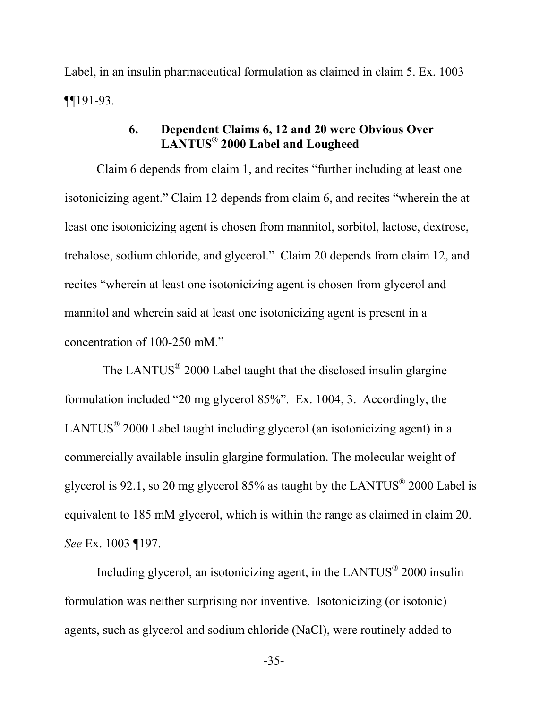Label, in an insulin pharmaceutical formulation as claimed in claim 5. Ex. 1003 ¶¶191-93.

# **6. Dependent Claims 6, 12 and 20 were Obvious Over LANTUS® 2000 Label and Lougheed**

Claim 6 depends from claim 1, and recites "further including at least one isotonicizing agent." Claim 12 depends from claim 6, and recites "wherein the at least one isotonicizing agent is chosen from mannitol, sorbitol, lactose, dextrose, trehalose, sodium chloride, and glycerol." Claim 20 depends from claim 12, and recites "wherein at least one isotonicizing agent is chosen from glycerol and mannitol and wherein said at least one isotonicizing agent is present in a concentration of 100-250 mM."

The LANTUS<sup>®</sup> 2000 Label taught that the disclosed insulin glargine formulation included "20 mg glycerol 85%". Ex. 1004, 3. Accordingly, the LANTUS $^{\circ}$  2000 Label taught including glycerol (an isotonicizing agent) in a commercially available insulin glargine formulation. The molecular weight of glycerol is 92.1, so 20 mg glycerol 85% as taught by the LANTUS<sup>®</sup> 2000 Label is equivalent to 185 mM glycerol, which is within the range as claimed in claim 20. *See* Ex. 1003 ¶197.

Including glycerol, an isotonicizing agent, in the LANTUS<sup>®</sup> 2000 insulin formulation was neither surprising nor inventive. Isotonicizing (or isotonic) agents, such as glycerol and sodium chloride (NaCl), were routinely added to

-35-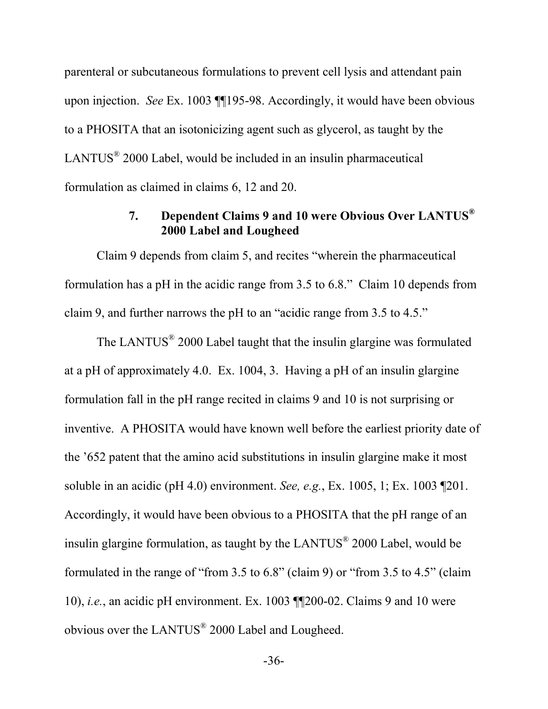parenteral or subcutaneous formulations to prevent cell lysis and attendant pain upon injection. *See* Ex. 1003 ¶¶195-98. Accordingly, it would have been obvious to a PHOSITA that an isotonicizing agent such as glycerol, as taught by the LANTUS $^{\circ}$  2000 Label, would be included in an insulin pharmaceutical formulation as claimed in claims 6, 12 and 20.

# **7. Dependent Claims 9 and 10 were Obvious Over LANTUS® 2000 Label and Lougheed**

Claim 9 depends from claim 5, and recites "wherein the pharmaceutical formulation has a pH in the acidic range from 3.5 to 6.8." Claim 10 depends from claim 9, and further narrows the pH to an "acidic range from 3.5 to 4.5."

The LANTUS<sup>®</sup> 2000 Label taught that the insulin glargine was formulated at a pH of approximately 4.0. Ex. 1004, 3. Having a pH of an insulin glargine formulation fall in the pH range recited in claims 9 and 10 is not surprising or inventive. A PHOSITA would have known well before the earliest priority date of the '652 patent that the amino acid substitutions in insulin glargine make it most soluble in an acidic (pH 4.0) environment. *See, e.g.*, Ex. 1005, 1; Ex. 1003 ¶201. Accordingly, it would have been obvious to a PHOSITA that the pH range of an insulin glargine formulation, as taught by the LANTUS $^{\circ}$  2000 Label, would be formulated in the range of "from 3.5 to 6.8" (claim 9) or "from 3.5 to 4.5" (claim 10), *i.e.*, an acidic pH environment. Ex. 1003 ¶¶200-02. Claims 9 and 10 were obvious over the LANTUS<sup>®</sup> 2000 Label and Lougheed.

-36-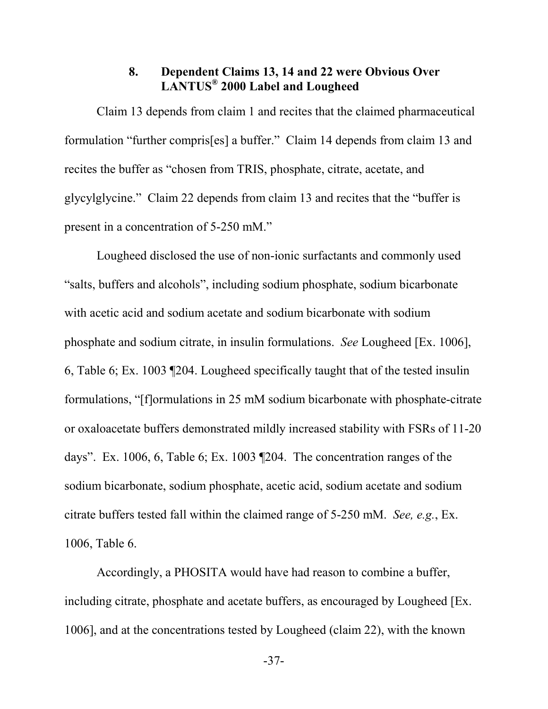### **8. Dependent Claims 13, 14 and 22 were Obvious Over LANTUS® 2000 Label and Lougheed**

Claim 13 depends from claim 1 and recites that the claimed pharmaceutical formulation "further compris[es] a buffer." Claim 14 depends from claim 13 and recites the buffer as "chosen from TRIS, phosphate, citrate, acetate, and glycylglycine." Claim 22 depends from claim 13 and recites that the "buffer is present in a concentration of 5-250 mM."

Lougheed disclosed the use of non-ionic surfactants and commonly used "salts, buffers and alcohols", including sodium phosphate, sodium bicarbonate with acetic acid and sodium acetate and sodium bicarbonate with sodium phosphate and sodium citrate, in insulin formulations. *See* Lougheed [Ex. 1006], 6, Table 6; Ex. 1003 ¶204. Lougheed specifically taught that of the tested insulin formulations, "[f]ormulations in 25 mM sodium bicarbonate with phosphate-citrate or oxaloacetate buffers demonstrated mildly increased stability with FSRs of 11-20 days". Ex. 1006, 6, Table 6; Ex. 1003 ¶204. The concentration ranges of the sodium bicarbonate, sodium phosphate, acetic acid, sodium acetate and sodium citrate buffers tested fall within the claimed range of 5-250 mM. *See, e.g.*, Ex. 1006, Table 6.

Accordingly, a PHOSITA would have had reason to combine a buffer, including citrate, phosphate and acetate buffers, as encouraged by Lougheed [Ex. 1006], and at the concentrations tested by Lougheed (claim 22), with the known

-37-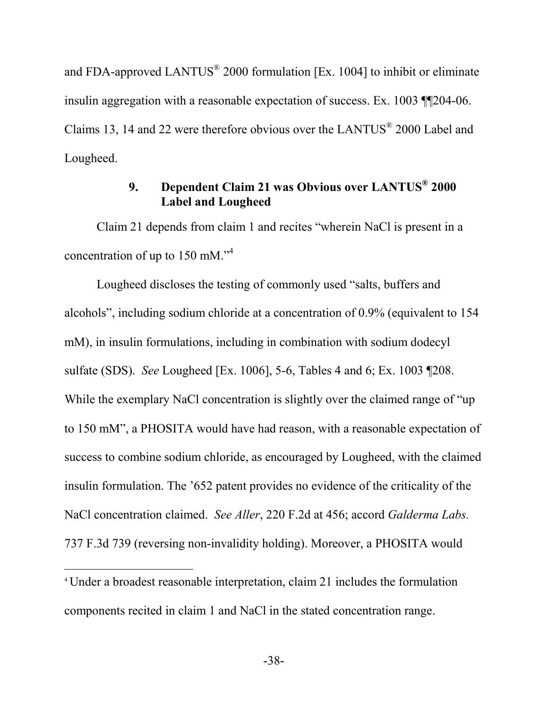and FDA-approved LANTUS<sup>®</sup> 2000 formulation [Ex. 1004] to inhibit or eliminate insulin aggregation with a reasonable expectation of success. Ex. 1003 ¶¶204-06. Claims 13, 14 and 22 were therefore obvious over the LANTUS $^{\circ}$  2000 Label and Lougheed.

# **9. Dependent Claim 21 was Obvious over LANTUS® 2000 Label and Lougheed**

Claim 21 depends from claim 1 and recites "wherein NaCl is present in a concentration of up to 150 mM."<sup>4</sup>

Lougheed discloses the testing of commonly used "salts, buffers and alcohols", including sodium chloride at a concentration of 0.9% (equivalent to 154 mM), in insulin formulations, including in combination with sodium dodecyl sulfate (SDS). *See* Lougheed [Ex. 1006], 5-6, Tables 4 and 6; Ex. 1003 ¶208. While the exemplary NaCl concentration is slightly over the claimed range of "up" to 150 mM", a PHOSITA would have had reason, with a reasonable expectation of success to combine sodium chloride, as encouraged by Lougheed, with the claimed insulin formulation. The '652 patent provides no evidence of the criticality of the NaCl concentration claimed. *See Aller*, 220 F.2d at 456; accord *Galderma Labs.* 737 F.3d 739 (reversing non-invalidity holding). Moreover, a PHOSITA would

<sup>4</sup> Under a broadest reasonable interpretation, claim 21 includes the formulation components recited in claim 1 and NaCl in the stated concentration range.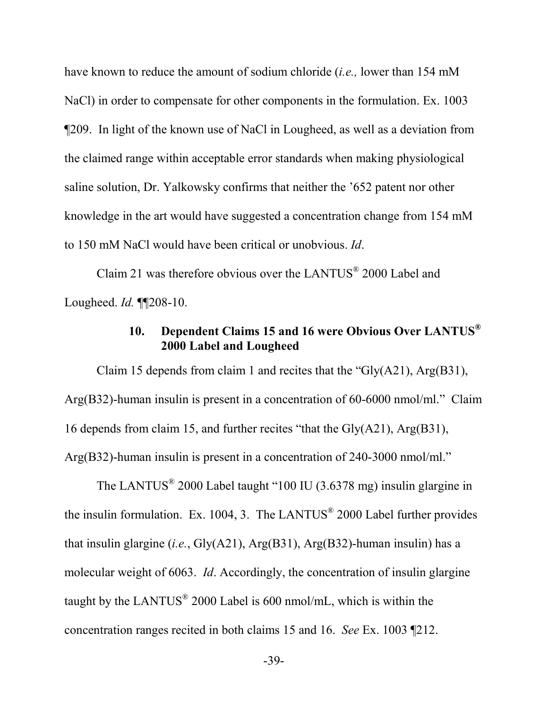have known to reduce the amount of sodium chloride (*i.e.,* lower than 154 mM NaCl) in order to compensate for other components in the formulation. Ex. 1003 ¶209. In light of the known use of NaCl in Lougheed, as well as a deviation from the claimed range within acceptable error standards when making physiological saline solution, Dr. Yalkowsky confirms that neither the '652 patent nor other knowledge in the art would have suggested a concentration change from 154 mM to 150 mM NaCl would have been critical or unobvious. *Id*.

Claim 21 was therefore obvious over the LANTUS $^{\circ}$  2000 Label and Lougheed. *Id.* ¶¶208-10.

# **10. Dependent Claims 15 and 16 were Obvious Over LANTUS® 2000 Label and Lougheed**

Claim 15 depends from claim 1 and recites that the "Gly(A21), Arg(B31), Arg(B32)-human insulin is present in a concentration of 60-6000 nmol/ml." Claim 16 depends from claim 15, and further recites "that the Gly(A21), Arg(B31), Arg(B32)-human insulin is present in a concentration of 240-3000 nmol/ml."

The LANTUS<sup>®</sup> 2000 Label taught "100 IU (3.6378 mg) insulin glargine in the insulin formulation. Ex. 1004, 3. The LANTUS<sup>®</sup> 2000 Label further provides that insulin glargine (*i.e.*, Gly(A21), Arg(B31), Arg(B32)-human insulin) has a molecular weight of 6063. *Id*. Accordingly, the concentration of insulin glargine taught by the LANTUS $^{\circ}$  2000 Label is 600 nmol/mL, which is within the concentration ranges recited in both claims 15 and 16. *See* Ex. 1003 ¶212.

-39-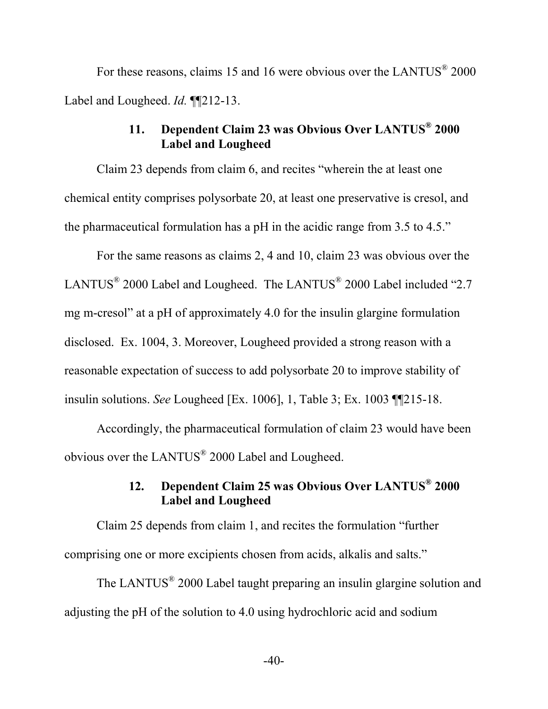For these reasons, claims 15 and 16 were obvious over the LANTUS<sup>®</sup> 2000 Label and Lougheed. *Id.* ¶¶212-13.

# **11. Dependent Claim 23 was Obvious Over LANTUS® 2000 Label and Lougheed**

Claim 23 depends from claim 6, and recites "wherein the at least one chemical entity comprises polysorbate 20, at least one preservative is cresol, and the pharmaceutical formulation has a pH in the acidic range from 3.5 to 4.5."

For the same reasons as claims 2, 4 and 10, claim 23 was obvious over the LANTUS<sup>®</sup> 2000 Label and Lougheed. The LANTUS<sup>®</sup> 2000 Label included "2.7 mg m-cresol" at a pH of approximately 4.0 for the insulin glargine formulation disclosed. Ex. 1004, 3. Moreover, Lougheed provided a strong reason with a reasonable expectation of success to add polysorbate 20 to improve stability of insulin solutions. *See* Lougheed [Ex. 1006], 1, Table 3; Ex. 1003 ¶¶215-18.

Accordingly, the pharmaceutical formulation of claim 23 would have been obvious over the LANTUS<sup>®</sup> 2000 Label and Lougheed.

# **12. Dependent Claim 25 was Obvious Over LANTUS® 2000 Label and Lougheed**

Claim 25 depends from claim 1, and recites the formulation "further comprising one or more excipients chosen from acids, alkalis and salts."

The LANTUS<sup>®</sup> 2000 Label taught preparing an insulin glargine solution and adjusting the pH of the solution to 4.0 using hydrochloric acid and sodium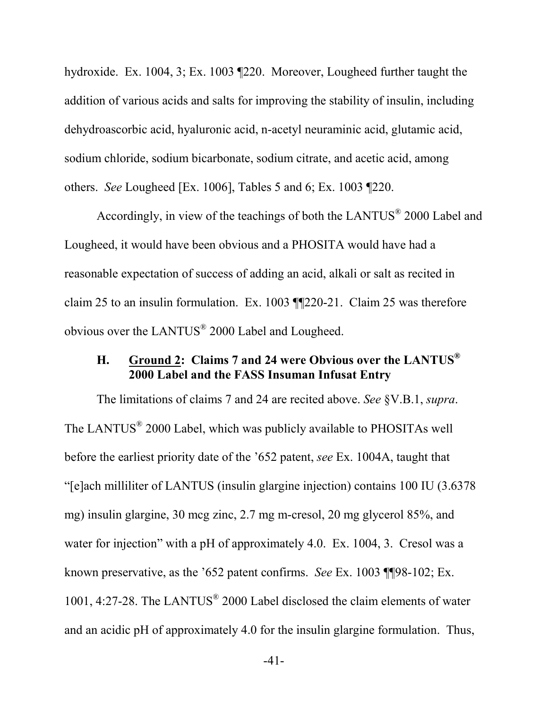hydroxide. Ex. 1004, 3; Ex. 1003 ¶220. Moreover, Lougheed further taught the addition of various acids and salts for improving the stability of insulin, including dehydroascorbic acid, hyaluronic acid, n-acetyl neuraminic acid, glutamic acid, sodium chloride, sodium bicarbonate, sodium citrate, and acetic acid, among others. *See* Lougheed [Ex. 1006], Tables 5 and 6; Ex. 1003 ¶220.

Accordingly, in view of the teachings of both the LANTUS® 2000 Label and Lougheed, it would have been obvious and a PHOSITA would have had a reasonable expectation of success of adding an acid, alkali or salt as recited in claim 25 to an insulin formulation. Ex. 1003 ¶¶220-21. Claim 25 was therefore obvious over the LANTUS $^{\circ}$  2000 Label and Lougheed.

# **H. Ground 2: Claims 7 and 24 were Obvious over the LANTUS® 2000 Label and the FASS Insuman Infusat Entry**

The limitations of claims 7 and 24 are recited above. *See* §V.B.1, *supra*. The LANTUS<sup>®</sup> 2000 Label, which was publicly available to PHOSITAs well before the earliest priority date of the '652 patent, *see* Ex. 1004A, taught that "[e]ach milliliter of LANTUS (insulin glargine injection) contains 100 IU (3.6378 mg) insulin glargine, 30 mcg zinc, 2.7 mg m-cresol, 20 mg glycerol 85%, and water for injection" with a pH of approximately 4.0. Ex. 1004, 3. Cresol was a known preservative, as the '652 patent confirms. *See* Ex. 1003 ¶¶98-102; Ex. 1001, 4:27-28. The LANTUS<sup>®</sup> 2000 Label disclosed the claim elements of water and an acidic pH of approximately 4.0 for the insulin glargine formulation. Thus,

-41-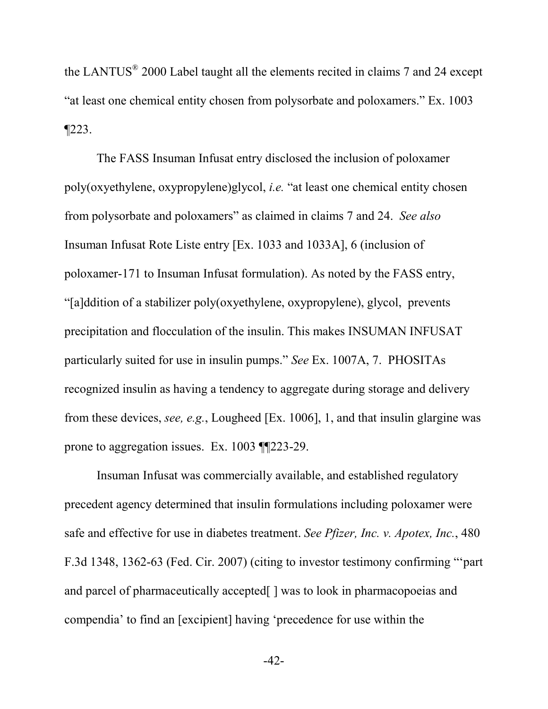the LANTUS $^{\circ}$  2000 Label taught all the elements recited in claims 7 and 24 except "at least one chemical entity chosen from polysorbate and poloxamers." Ex. 1003 ¶223.

The FASS Insuman Infusat entry disclosed the inclusion of poloxamer poly(oxyethylene, oxypropylene)glycol, *i.e.* "at least one chemical entity chosen from polysorbate and poloxamers" as claimed in claims 7 and 24. *See also*  Insuman Infusat Rote Liste entry [Ex. 1033 and 1033A], 6 (inclusion of poloxamer-171 to Insuman Infusat formulation). As noted by the FASS entry, "[a]ddition of a stabilizer poly(oxyethylene, oxypropylene), glycol, prevents precipitation and flocculation of the insulin. This makes INSUMAN INFUSAT particularly suited for use in insulin pumps." *See* Ex. 1007A, 7. PHOSITAs recognized insulin as having a tendency to aggregate during storage and delivery from these devices, *see, e.g.*, Lougheed [Ex. 1006], 1, and that insulin glargine was prone to aggregation issues. Ex. 1003 ¶¶223-29.

Insuman Infusat was commercially available, and established regulatory precedent agency determined that insulin formulations including poloxamer were safe and effective for use in diabetes treatment. *See Pfizer, Inc. v. Apotex, Inc.*, 480 F.3d 1348, 1362-63 (Fed. Cir. 2007) (citing to investor testimony confirming "'part and parcel of pharmaceutically accepted[ ] was to look in pharmacopoeias and compendia' to find an [excipient] having 'precedence for use within the

-42-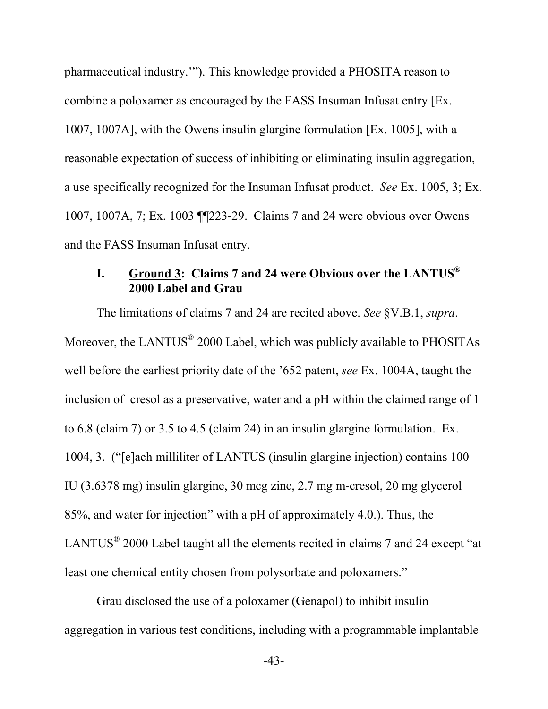pharmaceutical industry.'"). This knowledge provided a PHOSITA reason to combine a poloxamer as encouraged by the FASS Insuman Infusat entry [Ex. 1007, 1007A], with the Owens insulin glargine formulation [Ex. 1005], with a reasonable expectation of success of inhibiting or eliminating insulin aggregation, a use specifically recognized for the Insuman Infusat product. *See* Ex. 1005, 3; Ex. 1007, 1007A, 7; Ex. 1003 ¶¶223-29. Claims 7 and 24 were obvious over Owens and the FASS Insuman Infusat entry.

# **I. Ground 3: Claims 7 and 24 were Obvious over the LANTUS® 2000 Label and Grau**

The limitations of claims 7 and 24 are recited above. *See* §V.B.1, *supra*. Moreover, the LANTUS $^{\circ}$  2000 Label, which was publicly available to PHOSITAs well before the earliest priority date of the '652 patent, *see* Ex. 1004A, taught the inclusion of cresol as a preservative, water and a pH within the claimed range of 1 to 6.8 (claim 7) or 3.5 to 4.5 (claim 24) in an insulin glargine formulation. Ex. 1004, 3. ("[e]ach milliliter of LANTUS (insulin glargine injection) contains 100 IU (3.6378 mg) insulin glargine, 30 mcg zinc, 2.7 mg m-cresol, 20 mg glycerol 85%, and water for injection" with a pH of approximately 4.0.). Thus, the LANTUS $^{\circ}$  2000 Label taught all the elements recited in claims 7 and 24 except "at least one chemical entity chosen from polysorbate and poloxamers."

Grau disclosed the use of a poloxamer (Genapol) to inhibit insulin aggregation in various test conditions, including with a programmable implantable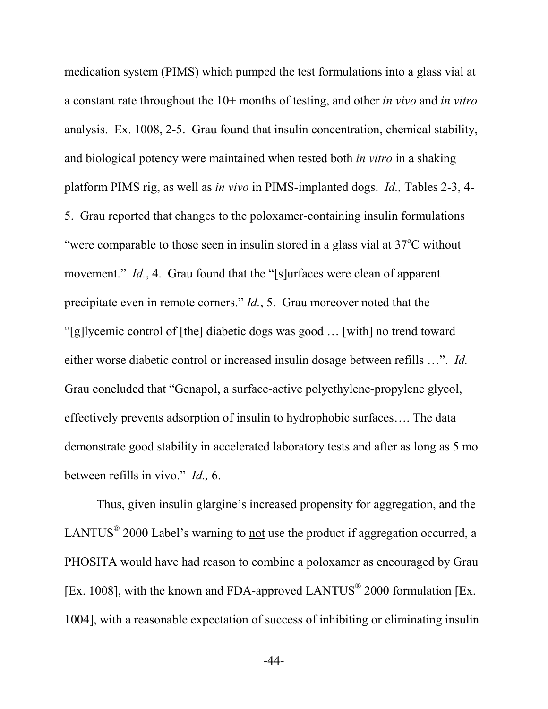medication system (PIMS) which pumped the test formulations into a glass vial at a constant rate throughout the 10+ months of testing, and other *in vivo* and *in vitro* analysis. Ex. 1008, 2-5. Grau found that insulin concentration, chemical stability, and biological potency were maintained when tested both *in vitro* in a shaking platform PIMS rig, as well as *in vivo* in PIMS-implanted dogs. *Id.,* Tables 2-3, 4- 5. Grau reported that changes to the poloxamer-containing insulin formulations "were comparable to those seen in insulin stored in a glass vial at  $37^{\circ}$ C without movement." *Id.*, 4. Grau found that the "[s]urfaces were clean of apparent precipitate even in remote corners." *Id.*, 5. Grau moreover noted that the "[g]lycemic control of [the] diabetic dogs was good … [with] no trend toward either worse diabetic control or increased insulin dosage between refills …". *Id.* Grau concluded that "Genapol, a surface-active polyethylene-propylene glycol, effectively prevents adsorption of insulin to hydrophobic surfaces…. The data demonstrate good stability in accelerated laboratory tests and after as long as 5 mo between refills in vivo." *Id.,* 6.

Thus, given insulin glargine's increased propensity for aggregation, and the LANTUS<sup>®</sup> 2000 Label's warning to <u>not</u> use the product if aggregation occurred, a PHOSITA would have had reason to combine a poloxamer as encouraged by Grau [Ex. 1008], with the known and FDA-approved LANTUS<sup>®</sup> 2000 formulation [Ex. 1004], with a reasonable expectation of success of inhibiting or eliminating insulin

-44-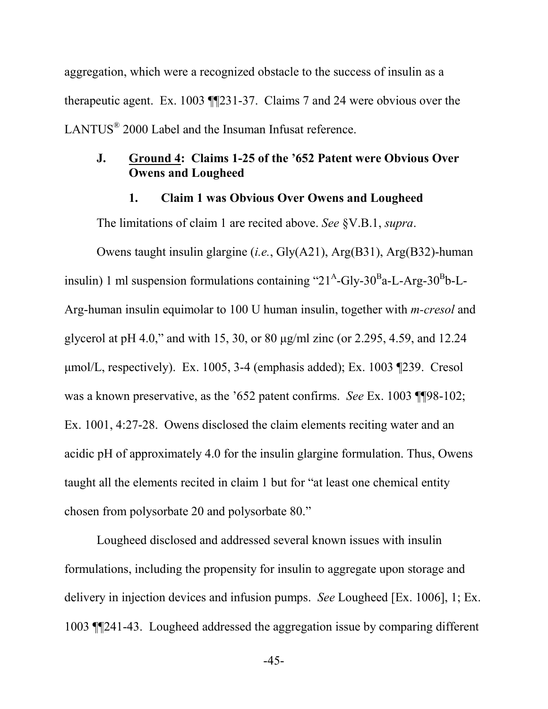aggregation, which were a recognized obstacle to the success of insulin as a therapeutic agent. Ex. 1003 ¶¶231-37. Claims 7 and 24 were obvious over the LANTUS $^{\circ}$  2000 Label and the Insuman Infusat reference.

#### **J. Ground 4: Claims 1-25 of the '652 Patent were Obvious Over Owens and Lougheed**

#### **1. Claim 1 was Obvious Over Owens and Lougheed**

The limitations of claim 1 are recited above. *See* §V.B.1, *supra*.

Owens taught insulin glargine (*i.e.*, Gly(A21), Arg(B31), Arg(B32)-human insulin) 1 ml suspension formulations containing " $21^{\text{A}}$ -Gly-30<sup>B</sup>a-L-Arg-30<sup>B</sup>b-L-Arg-human insulin equimolar to 100 U human insulin, together with *m-cresol* and glycerol at pH 4.0," and with 15, 30, or 80 μg/ml zinc (or 2.295, 4.59, and 12.24 μmol/L, respectively). Ex. 1005, 3-4 (emphasis added); Ex. 1003 ¶239. Cresol was a known preservative, as the '652 patent confirms. *See* Ex. 1003 ¶¶98-102; Ex. 1001, 4:27-28. Owens disclosed the claim elements reciting water and an acidic pH of approximately 4.0 for the insulin glargine formulation. Thus, Owens taught all the elements recited in claim 1 but for "at least one chemical entity chosen from polysorbate 20 and polysorbate 80."

Lougheed disclosed and addressed several known issues with insulin formulations, including the propensity for insulin to aggregate upon storage and delivery in injection devices and infusion pumps. *See* Lougheed [Ex. 1006], 1; Ex. 1003 ¶¶241-43. Lougheed addressed the aggregation issue by comparing different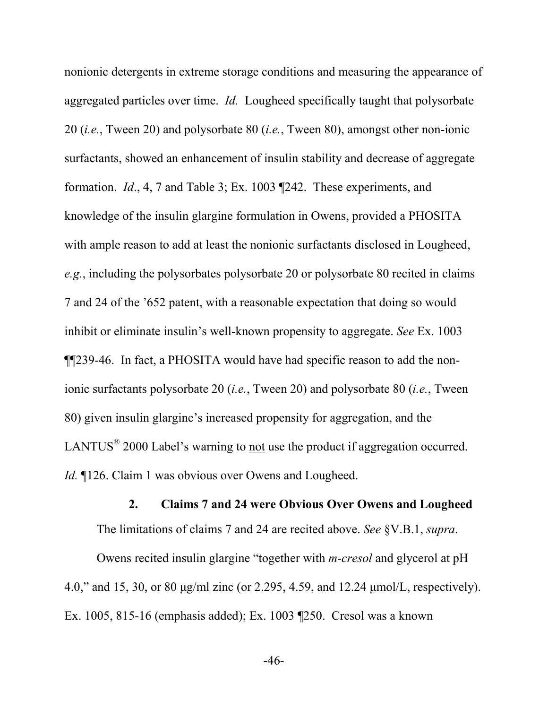nonionic detergents in extreme storage conditions and measuring the appearance of aggregated particles over time. *Id.* Lougheed specifically taught that polysorbate 20 (*i.e.*, Tween 20) and polysorbate 80 (*i.e.*, Tween 80), amongst other non-ionic surfactants, showed an enhancement of insulin stability and decrease of aggregate formation. *Id*., 4, 7 and Table 3; Ex. 1003 ¶242. These experiments, and knowledge of the insulin glargine formulation in Owens, provided a PHOSITA with ample reason to add at least the nonionic surfactants disclosed in Lougheed, *e.g.*, including the polysorbates polysorbate 20 or polysorbate 80 recited in claims 7 and 24 of the '652 patent, with a reasonable expectation that doing so would inhibit or eliminate insulin's well-known propensity to aggregate. *See* Ex. 1003 ¶¶239-46. In fact, a PHOSITA would have had specific reason to add the nonionic surfactants polysorbate 20 (*i.e.*, Tween 20) and polysorbate 80 (*i.e.*, Tween 80) given insulin glargine's increased propensity for aggregation, and the LANTUS<sup>®</sup> 2000 Label's warning to <u>not</u> use the product if aggregation occurred. *Id.* ¶126. Claim 1 was obvious over Owens and Lougheed.

**2. Claims 7 and 24 were Obvious Over Owens and Lougheed**  The limitations of claims 7 and 24 are recited above. *See* §V.B.1, *supra*.

Owens recited insulin glargine "together with *m-cresol* and glycerol at pH 4.0," and 15, 30, or 80 μg/ml zinc (or 2.295, 4.59, and 12.24 μmol/L, respectively). Ex. 1005, 815-16 (emphasis added); Ex. 1003 ¶250. Cresol was a known

-46-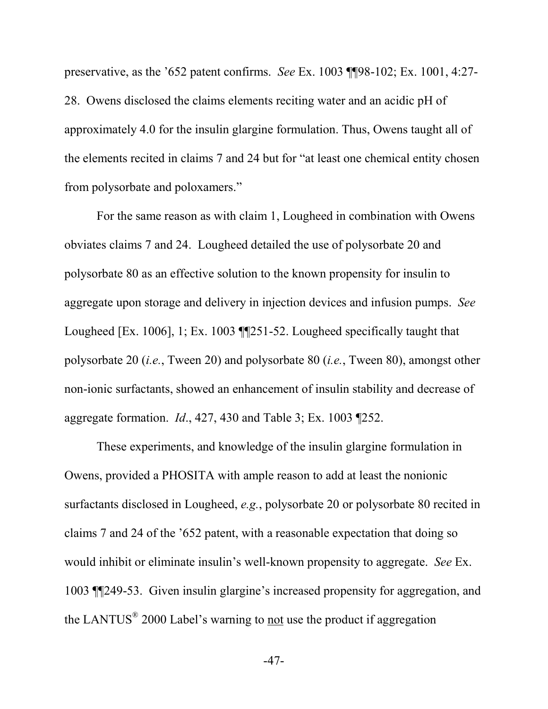preservative, as the '652 patent confirms. *See* Ex. 1003 ¶¶98-102; Ex. 1001, 4:27- 28. Owens disclosed the claims elements reciting water and an acidic pH of approximately 4.0 for the insulin glargine formulation. Thus, Owens taught all of the elements recited in claims 7 and 24 but for "at least one chemical entity chosen from polysorbate and poloxamers."

For the same reason as with claim 1, Lougheed in combination with Owens obviates claims 7 and 24. Lougheed detailed the use of polysorbate 20 and polysorbate 80 as an effective solution to the known propensity for insulin to aggregate upon storage and delivery in injection devices and infusion pumps. *See*  Lougheed [Ex. 1006], 1; Ex. 1003 ¶¶251-52. Lougheed specifically taught that polysorbate 20 (*i.e.*, Tween 20) and polysorbate 80 (*i.e.*, Tween 80), amongst other non-ionic surfactants, showed an enhancement of insulin stability and decrease of aggregate formation. *Id*., 427, 430 and Table 3; Ex. 1003 ¶252.

These experiments, and knowledge of the insulin glargine formulation in Owens, provided a PHOSITA with ample reason to add at least the nonionic surfactants disclosed in Lougheed, *e.g.*, polysorbate 20 or polysorbate 80 recited in claims 7 and 24 of the '652 patent, with a reasonable expectation that doing so would inhibit or eliminate insulin's well-known propensity to aggregate. *See* Ex. 1003 ¶¶249-53. Given insulin glargine's increased propensity for aggregation, and the LANTUS $^{\circ}$  2000 Label's warning to not use the product if aggregation

-47-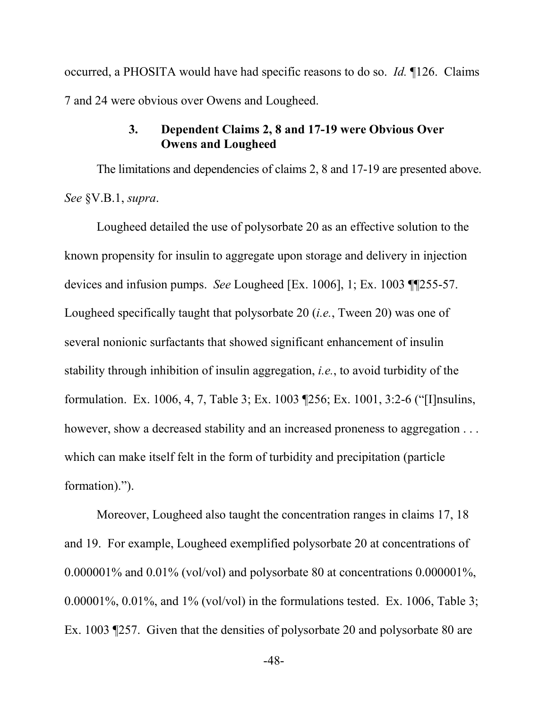occurred, a PHOSITA would have had specific reasons to do so. *Id.* ¶126. Claims 7 and 24 were obvious over Owens and Lougheed.

#### **3. Dependent Claims 2, 8 and 17-19 were Obvious Over Owens and Lougheed**

The limitations and dependencies of claims 2, 8 and 17-19 are presented above. *See* §V.B.1, *supra*.

Lougheed detailed the use of polysorbate 20 as an effective solution to the known propensity for insulin to aggregate upon storage and delivery in injection devices and infusion pumps. *See* Lougheed [Ex. 1006], 1; Ex. 1003 ¶¶255-57. Lougheed specifically taught that polysorbate 20 (*i.e.*, Tween 20) was one of several nonionic surfactants that showed significant enhancement of insulin stability through inhibition of insulin aggregation, *i.e.*, to avoid turbidity of the formulation. Ex. 1006, 4, 7, Table 3; Ex. 1003 ¶256; Ex. 1001, 3:2-6 ("[I]nsulins, however, show a decreased stability and an increased proneness to aggregation . . . which can make itself felt in the form of turbidity and precipitation (particle formation).").

Moreover, Lougheed also taught the concentration ranges in claims 17, 18 and 19. For example, Lougheed exemplified polysorbate 20 at concentrations of 0.000001% and 0.01% (vol/vol) and polysorbate 80 at concentrations 0.000001%,  $0.00001\%$ ,  $0.01\%$ , and  $1\%$  (vol/vol) in the formulations tested. Ex. 1006, Table 3; Ex. 1003 ¶257. Given that the densities of polysorbate 20 and polysorbate 80 are

-48-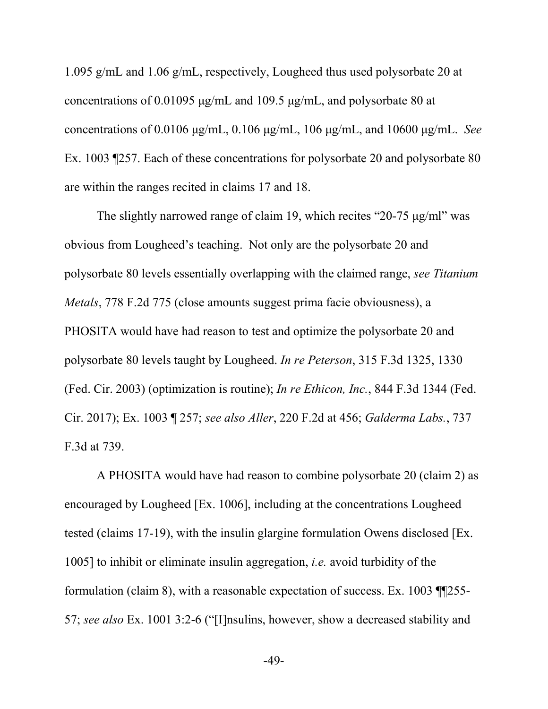1.095 g/mL and 1.06 g/mL, respectively, Lougheed thus used polysorbate 20 at concentrations of 0.01095 μg/mL and 109.5 μg/mL, and polysorbate 80 at concentrations of 0.0106 μg/mL, 0.106 μg/mL, 106 μg/mL, and 10600 μg/mL. *See*  Ex. 1003 ¶257. Each of these concentrations for polysorbate 20 and polysorbate 80 are within the ranges recited in claims 17 and 18.

The slightly narrowed range of claim 19, which recites "20-75 μg/ml" was obvious from Lougheed's teaching. Not only are the polysorbate 20 and polysorbate 80 levels essentially overlapping with the claimed range, *see Titanium Metals*, 778 F.2d 775 (close amounts suggest prima facie obviousness), a PHOSITA would have had reason to test and optimize the polysorbate 20 and polysorbate 80 levels taught by Lougheed. *In re Peterson*, 315 F.3d 1325, 1330 (Fed. Cir. 2003) (optimization is routine); *In re Ethicon, Inc.*, 844 F.3d 1344 (Fed. Cir. 2017); Ex. 1003 ¶ 257; *see also Aller*, 220 F.2d at 456; *Galderma Labs.*, 737 F.3d at 739.

A PHOSITA would have had reason to combine polysorbate 20 (claim 2) as encouraged by Lougheed [Ex. 1006], including at the concentrations Lougheed tested (claims 17-19), with the insulin glargine formulation Owens disclosed [Ex. 1005] to inhibit or eliminate insulin aggregation, *i.e.* avoid turbidity of the formulation (claim 8), with a reasonable expectation of success. Ex. 1003 ¶¶255- 57; *see also* Ex. 1001 3:2-6 ("[I]nsulins, however, show a decreased stability and

-49-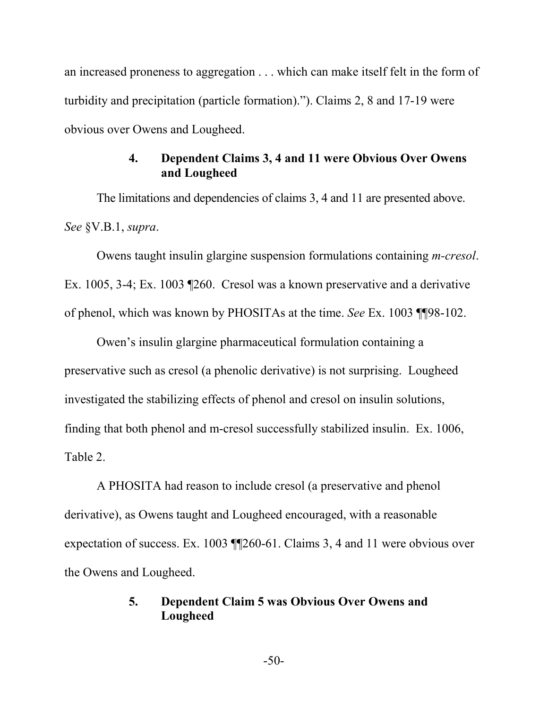an increased proneness to aggregation . . . which can make itself felt in the form of turbidity and precipitation (particle formation)."). Claims 2, 8 and 17-19 were obvious over Owens and Lougheed.

### **4. Dependent Claims 3, 4 and 11 were Obvious Over Owens and Lougheed**

The limitations and dependencies of claims 3, 4 and 11 are presented above. *See* §V.B.1, *supra*.

Owens taught insulin glargine suspension formulations containing *m-cresol*. Ex. 1005, 3-4; Ex. 1003 ¶260. Cresol was a known preservative and a derivative of phenol, which was known by PHOSITAs at the time. *See* Ex. 1003 ¶¶98-102.

Owen's insulin glargine pharmaceutical formulation containing a preservative such as cresol (a phenolic derivative) is not surprising. Lougheed investigated the stabilizing effects of phenol and cresol on insulin solutions, finding that both phenol and m-cresol successfully stabilized insulin. Ex. 1006, Table 2.

A PHOSITA had reason to include cresol (a preservative and phenol derivative), as Owens taught and Lougheed encouraged, with a reasonable expectation of success. Ex. 1003 ¶¶260-61. Claims 3, 4 and 11 were obvious over the Owens and Lougheed.

### **5. Dependent Claim 5 was Obvious Over Owens and Lougheed**

-50-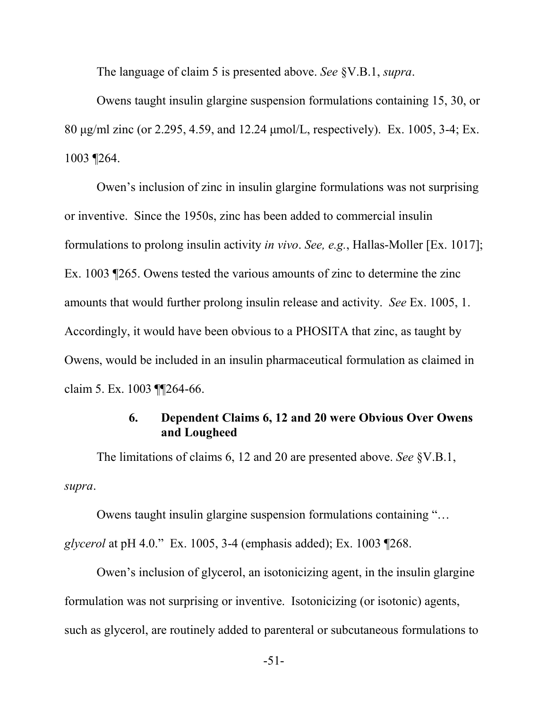The language of claim 5 is presented above. *See* §V.B.1, *supra*.

Owens taught insulin glargine suspension formulations containing 15, 30, or 80 μg/ml zinc (or 2.295, 4.59, and 12.24 μmol/L, respectively). Ex. 1005, 3-4; Ex. 1003 ¶264.

Owen's inclusion of zinc in insulin glargine formulations was not surprising or inventive. Since the 1950s, zinc has been added to commercial insulin formulations to prolong insulin activity *in vivo*. *See, e.g.*, Hallas-Moller [Ex. 1017]; Ex. 1003 ¶265. Owens tested the various amounts of zinc to determine the zinc amounts that would further prolong insulin release and activity. *See* Ex. 1005, 1. Accordingly, it would have been obvious to a PHOSITA that zinc, as taught by Owens, would be included in an insulin pharmaceutical formulation as claimed in claim 5. Ex. 1003 ¶¶264-66.

### **6. Dependent Claims 6, 12 and 20 were Obvious Over Owens and Lougheed**

The limitations of claims 6, 12 and 20 are presented above. *See* §V.B.1, *supra*.

Owens taught insulin glargine suspension formulations containing "… *glycerol* at pH 4.0." Ex. 1005, 3-4 (emphasis added); Ex. 1003 ¶268.

Owen's inclusion of glycerol, an isotonicizing agent, in the insulin glargine formulation was not surprising or inventive. Isotonicizing (or isotonic) agents, such as glycerol, are routinely added to parenteral or subcutaneous formulations to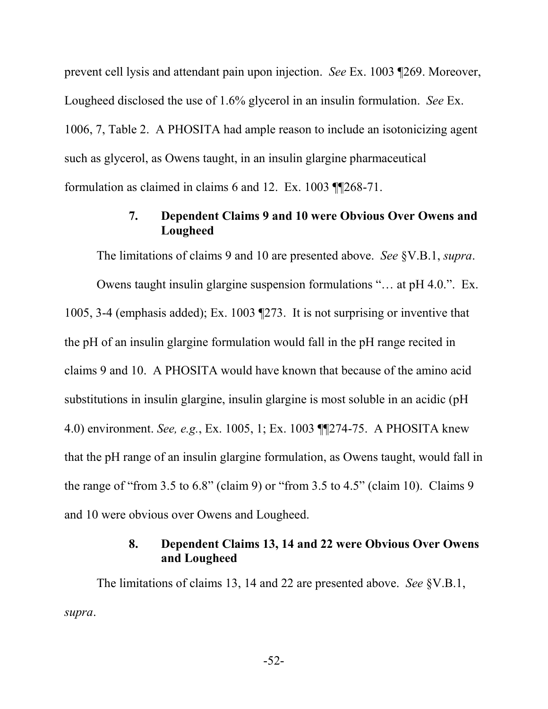prevent cell lysis and attendant pain upon injection. *See* Ex. 1003 ¶269. Moreover, Lougheed disclosed the use of 1.6% glycerol in an insulin formulation. *See* Ex. 1006, 7, Table 2. A PHOSITA had ample reason to include an isotonicizing agent such as glycerol, as Owens taught, in an insulin glargine pharmaceutical formulation as claimed in claims 6 and 12. Ex. 1003 ¶¶268-71.

#### **7. Dependent Claims 9 and 10 were Obvious Over Owens and Lougheed**

The limitations of claims 9 and 10 are presented above. *See* §V.B.1, *supra*.

Owens taught insulin glargine suspension formulations "… at pH 4.0.". Ex. 1005, 3-4 (emphasis added); Ex. 1003 ¶273. It is not surprising or inventive that the pH of an insulin glargine formulation would fall in the pH range recited in claims 9 and 10. A PHOSITA would have known that because of the amino acid substitutions in insulin glargine, insulin glargine is most soluble in an acidic (pH 4.0) environment. *See, e.g.*, Ex. 1005, 1; Ex. 1003 ¶¶274-75. A PHOSITA knew that the pH range of an insulin glargine formulation, as Owens taught, would fall in the range of "from 3.5 to 6.8" (claim 9) or "from 3.5 to 4.5" (claim 10). Claims 9 and 10 were obvious over Owens and Lougheed.

### **8. Dependent Claims 13, 14 and 22 were Obvious Over Owens and Lougheed**

The limitations of claims 13, 14 and 22 are presented above. *See* §V.B.1, *supra*.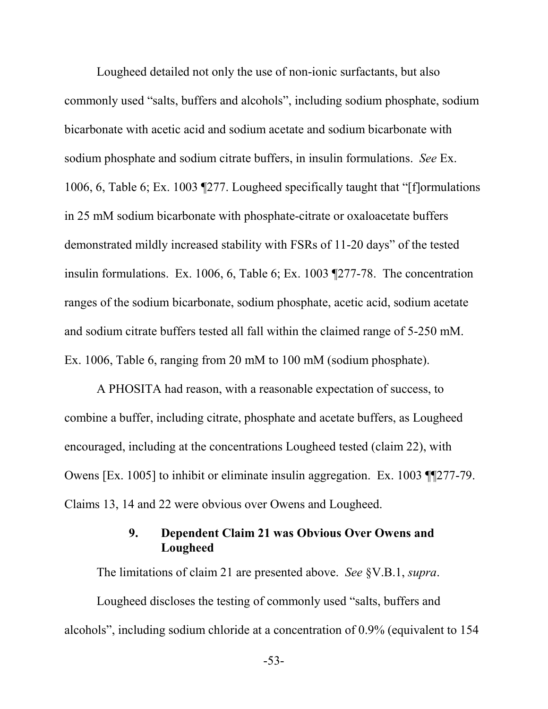Lougheed detailed not only the use of non-ionic surfactants, but also commonly used "salts, buffers and alcohols", including sodium phosphate, sodium bicarbonate with acetic acid and sodium acetate and sodium bicarbonate with sodium phosphate and sodium citrate buffers, in insulin formulations. *See* Ex. 1006, 6, Table 6; Ex. 1003 ¶277. Lougheed specifically taught that "[f]ormulations in 25 mM sodium bicarbonate with phosphate-citrate or oxaloacetate buffers demonstrated mildly increased stability with FSRs of 11-20 days" of the tested insulin formulations. Ex. 1006, 6, Table 6; Ex. 1003 ¶277-78. The concentration ranges of the sodium bicarbonate, sodium phosphate, acetic acid, sodium acetate and sodium citrate buffers tested all fall within the claimed range of 5-250 mM. Ex. 1006, Table 6, ranging from 20 mM to 100 mM (sodium phosphate).

A PHOSITA had reason, with a reasonable expectation of success, to combine a buffer, including citrate, phosphate and acetate buffers, as Lougheed encouraged, including at the concentrations Lougheed tested (claim 22), with Owens [Ex. 1005] to inhibit or eliminate insulin aggregation. Ex. 1003 ¶¶277-79. Claims 13, 14 and 22 were obvious over Owens and Lougheed.

### **9. Dependent Claim 21 was Obvious Over Owens and Lougheed**

The limitations of claim 21 are presented above. *See* §V.B.1, *supra*. Lougheed discloses the testing of commonly used "salts, buffers and alcohols", including sodium chloride at a concentration of 0.9% (equivalent to 154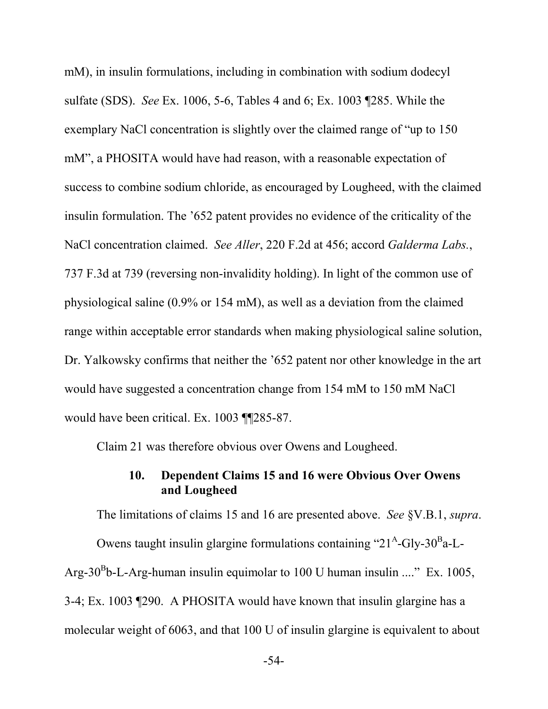mM), in insulin formulations, including in combination with sodium dodecyl sulfate (SDS). *See* Ex. 1006, 5-6, Tables 4 and 6; Ex. 1003 ¶285. While the exemplary NaCl concentration is slightly over the claimed range of "up to 150 mM", a PHOSITA would have had reason, with a reasonable expectation of success to combine sodium chloride, as encouraged by Lougheed, with the claimed insulin formulation. The '652 patent provides no evidence of the criticality of the NaCl concentration claimed. *See Aller*, 220 F.2d at 456; accord *Galderma Labs.*, 737 F.3d at 739 (reversing non-invalidity holding). In light of the common use of physiological saline (0.9% or 154 mM), as well as a deviation from the claimed range within acceptable error standards when making physiological saline solution, Dr. Yalkowsky confirms that neither the '652 patent nor other knowledge in the art would have suggested a concentration change from 154 mM to 150 mM NaCl would have been critical. Ex. 1003 ¶¶285-87.

Claim 21 was therefore obvious over Owens and Lougheed.

#### **10. Dependent Claims 15 and 16 were Obvious Over Owens and Lougheed**

The limitations of claims 15 and 16 are presented above. *See* §V.B.1, *supra*.

Owens taught insulin glargine formulations containing "21<sup>A</sup>-Gly-30<sup>B</sup>a-L-Arg-30<sup>B</sup>b-L-Arg-human insulin equimolar to 100 U human insulin ...." Ex. 1005, 3-4; Ex. 1003 ¶290. A PHOSITA would have known that insulin glargine has a molecular weight of 6063, and that 100 U of insulin glargine is equivalent to about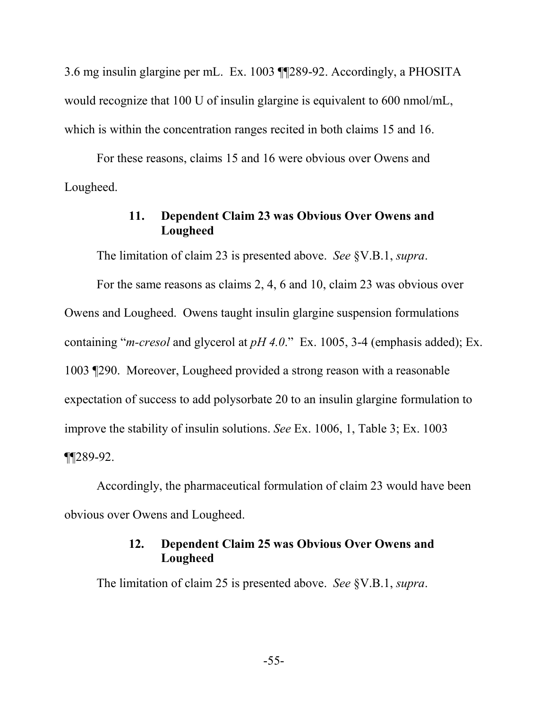3.6 mg insulin glargine per mL. Ex. 1003 ¶¶289-92. Accordingly, a PHOSITA would recognize that 100 U of insulin glargine is equivalent to 600 nmol/mL, which is within the concentration ranges recited in both claims 15 and 16.

For these reasons, claims 15 and 16 were obvious over Owens and Lougheed.

#### **11. Dependent Claim 23 was Obvious Over Owens and Lougheed**

The limitation of claim 23 is presented above. *See* §V.B.1, *supra*.

For the same reasons as claims 2, 4, 6 and 10, claim 23 was obvious over Owens and Lougheed. Owens taught insulin glargine suspension formulations containing "*m-cresol* and glycerol at *pH 4.0*." Ex. 1005, 3-4 (emphasis added); Ex. 1003 ¶290. Moreover, Lougheed provided a strong reason with a reasonable expectation of success to add polysorbate 20 to an insulin glargine formulation to improve the stability of insulin solutions. *See* Ex. 1006, 1, Table 3; Ex. 1003 ¶¶289-92.

Accordingly, the pharmaceutical formulation of claim 23 would have been obvious over Owens and Lougheed.

## **12. Dependent Claim 25 was Obvious Over Owens and Lougheed**

The limitation of claim 25 is presented above. *See* §V.B.1, *supra*.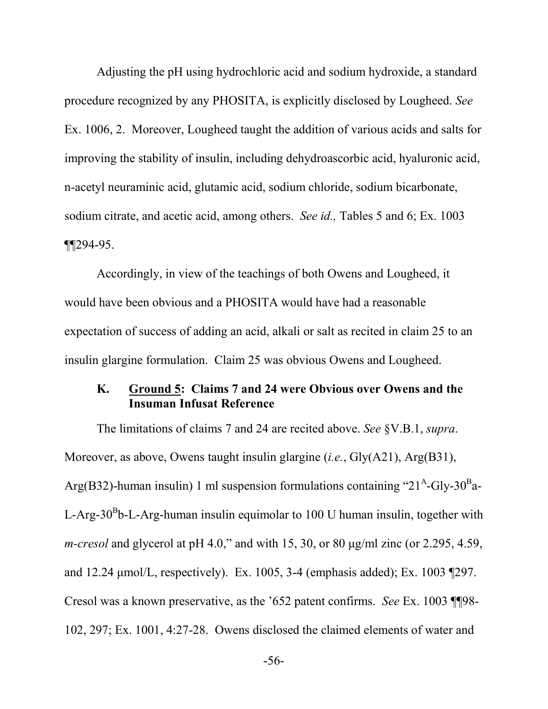Adjusting the pH using hydrochloric acid and sodium hydroxide, a standard procedure recognized by any PHOSITA, is explicitly disclosed by Lougheed. *See* Ex. 1006, 2. Moreover, Lougheed taught the addition of various acids and salts for improving the stability of insulin, including dehydroascorbic acid, hyaluronic acid, n-acetyl neuraminic acid, glutamic acid, sodium chloride, sodium bicarbonate, sodium citrate, and acetic acid, among others. *See id.,* Tables 5 and 6; Ex. 1003  $\P$  $[294-95]$ .

Accordingly, in view of the teachings of both Owens and Lougheed, it would have been obvious and a PHOSITA would have had a reasonable expectation of success of adding an acid, alkali or salt as recited in claim 25 to an insulin glargine formulation. Claim 25 was obvious Owens and Lougheed.

#### **K. Ground 5: Claims 7 and 24 were Obvious over Owens and the Insuman Infusat Reference**

The limitations of claims 7 and 24 are recited above. *See* §V.B.1, *supra*. Moreover, as above, Owens taught insulin glargine (*i.e.*, Gly(A21), Arg(B31), Arg(B32)-human insulin) 1 ml suspension formulations containing "21<sup>A</sup>-Gly-30<sup>B</sup>a-L-Arg-30<sup>B</sup>b-L-Arg-human insulin equimolar to 100 U human insulin, together with *m-cresol* and glycerol at pH 4.0," and with 15, 30, or 80 μg/ml zinc (or 2.295, 4.59, and 12.24 μmol/L, respectively). Ex. 1005, 3-4 (emphasis added); Ex. 1003 ¶297. Cresol was a known preservative, as the '652 patent confirms. *See* Ex. 1003 ¶¶98- 102, 297; Ex. 1001, 4:27-28. Owens disclosed the claimed elements of water and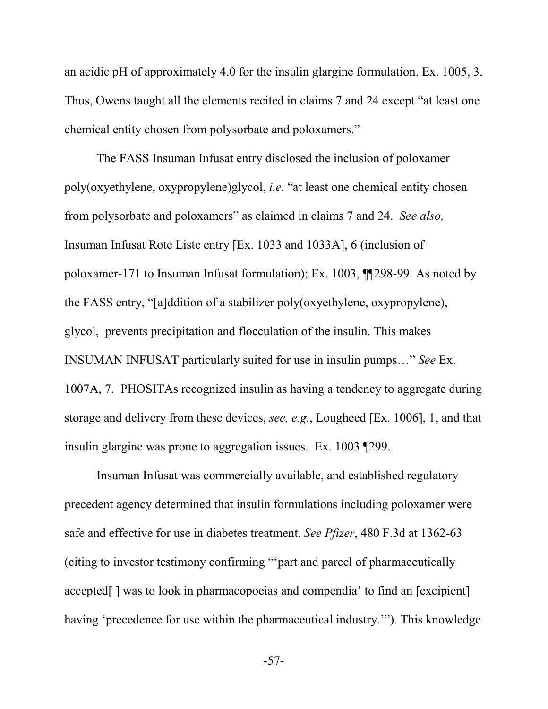an acidic pH of approximately 4.0 for the insulin glargine formulation. Ex. 1005, 3. Thus, Owens taught all the elements recited in claims 7 and 24 except "at least one chemical entity chosen from polysorbate and poloxamers."

The FASS Insuman Infusat entry disclosed the inclusion of poloxamer poly(oxyethylene, oxypropylene)glycol, *i.e.* "at least one chemical entity chosen from polysorbate and poloxamers" as claimed in claims 7 and 24. *See also,* Insuman Infusat Rote Liste entry [Ex. 1033 and 1033A], 6 (inclusion of poloxamer-171 to Insuman Infusat formulation); Ex. 1003, ¶¶298-99. As noted by the FASS entry, "[a]ddition of a stabilizer poly(oxyethylene, oxypropylene), glycol, prevents precipitation and flocculation of the insulin. This makes INSUMAN INFUSAT particularly suited for use in insulin pumps…" *See* Ex. 1007A, 7. PHOSITAs recognized insulin as having a tendency to aggregate during storage and delivery from these devices, *see, e.g.*, Lougheed [Ex. 1006], 1, and that insulin glargine was prone to aggregation issues. Ex. 1003 ¶299.

Insuman Infusat was commercially available, and established regulatory precedent agency determined that insulin formulations including poloxamer were safe and effective for use in diabetes treatment. *See Pfizer*, 480 F.3d at 1362-63 (citing to investor testimony confirming "'part and parcel of pharmaceutically accepted[ ] was to look in pharmacopoeias and compendia' to find an [excipient] having 'precedence for use within the pharmaceutical industry.'"). This knowledge

-57-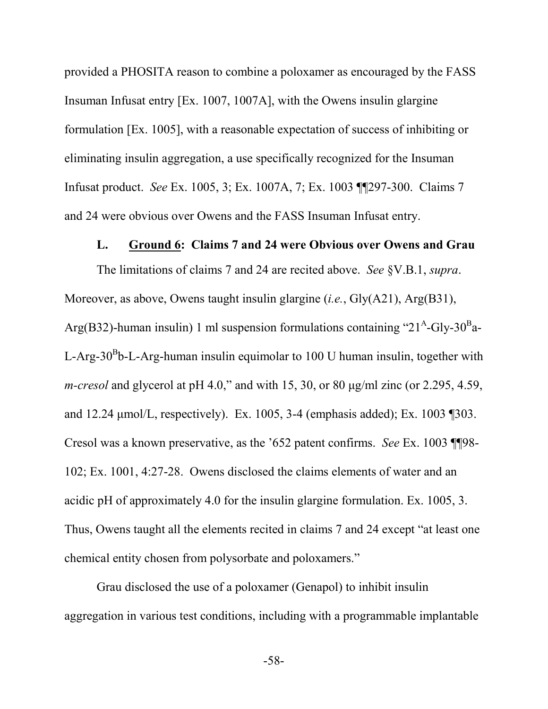provided a PHOSITA reason to combine a poloxamer as encouraged by the FASS Insuman Infusat entry [Ex. 1007, 1007A], with the Owens insulin glargine formulation [Ex. 1005], with a reasonable expectation of success of inhibiting or eliminating insulin aggregation, a use specifically recognized for the Insuman Infusat product. *See* Ex. 1005, 3; Ex. 1007A, 7; Ex. 1003 ¶¶297-300. Claims 7 and 24 were obvious over Owens and the FASS Insuman Infusat entry.

#### **L. Ground 6: Claims 7 and 24 were Obvious over Owens and Grau**

The limitations of claims 7 and 24 are recited above. *See* §V.B.1, *supra*. Moreover, as above, Owens taught insulin glargine (*i.e.*, Gly(A21), Arg(B31), Arg(B32)-human insulin) 1 ml suspension formulations containing "21<sup>A</sup>-Gly-30<sup>B</sup>a-L-Arg-30<sup>B</sup>b-L-Arg-human insulin equimolar to 100 U human insulin, together with *m-cresol* and glycerol at pH 4.0," and with 15, 30, or 80 μg/ml zinc (or 2.295, 4.59, and 12.24 μmol/L, respectively). Ex. 1005, 3-4 (emphasis added); Ex. 1003 ¶303. Cresol was a known preservative, as the '652 patent confirms. *See* Ex. 1003 ¶¶98- 102; Ex. 1001, 4:27-28. Owens disclosed the claims elements of water and an acidic pH of approximately 4.0 for the insulin glargine formulation. Ex. 1005, 3. Thus, Owens taught all the elements recited in claims 7 and 24 except "at least one chemical entity chosen from polysorbate and poloxamers."

Grau disclosed the use of a poloxamer (Genapol) to inhibit insulin aggregation in various test conditions, including with a programmable implantable

-58-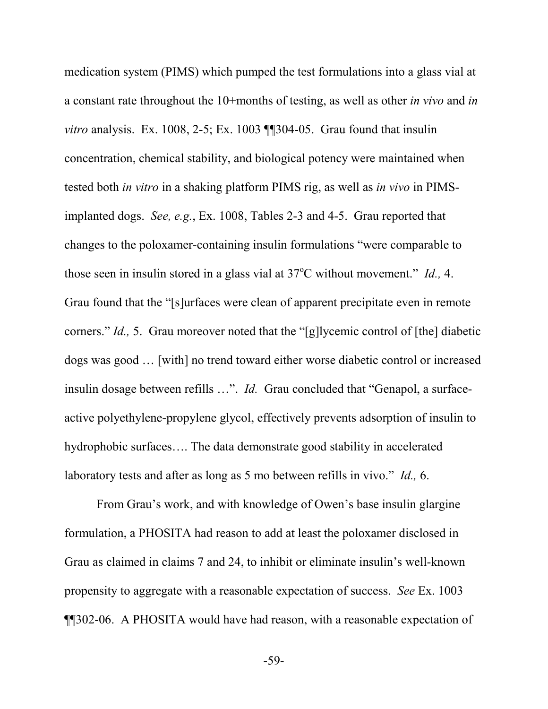medication system (PIMS) which pumped the test formulations into a glass vial at a constant rate throughout the 10+months of testing, as well as other *in vivo* and *in vitro* analysis. Ex. 1008, 2-5; Ex. 1003 **[**[304-05. Grau found that insulin] concentration, chemical stability, and biological potency were maintained when tested both *in vitro* in a shaking platform PIMS rig, as well as *in vivo* in PIMSimplanted dogs. *See, e.g.*, Ex. 1008, Tables 2-3 and 4-5. Grau reported that changes to the poloxamer-containing insulin formulations "were comparable to those seen in insulin stored in a glass vial at 37<sup>o</sup>C without movement." *Id.*, 4. Grau found that the "[s]urfaces were clean of apparent precipitate even in remote corners." *Id.,* 5. Grau moreover noted that the "[g]lycemic control of [the] diabetic dogs was good … [with] no trend toward either worse diabetic control or increased insulin dosage between refills …". *Id.* Grau concluded that "Genapol, a surfaceactive polyethylene-propylene glycol, effectively prevents adsorption of insulin to hydrophobic surfaces…. The data demonstrate good stability in accelerated laboratory tests and after as long as 5 mo between refills in vivo." *Id.,* 6.

From Grau's work, and with knowledge of Owen's base insulin glargine formulation, a PHOSITA had reason to add at least the poloxamer disclosed in Grau as claimed in claims 7 and 24, to inhibit or eliminate insulin's well-known propensity to aggregate with a reasonable expectation of success. *See* Ex. 1003 ¶¶302-06. A PHOSITA would have had reason, with a reasonable expectation of

-59-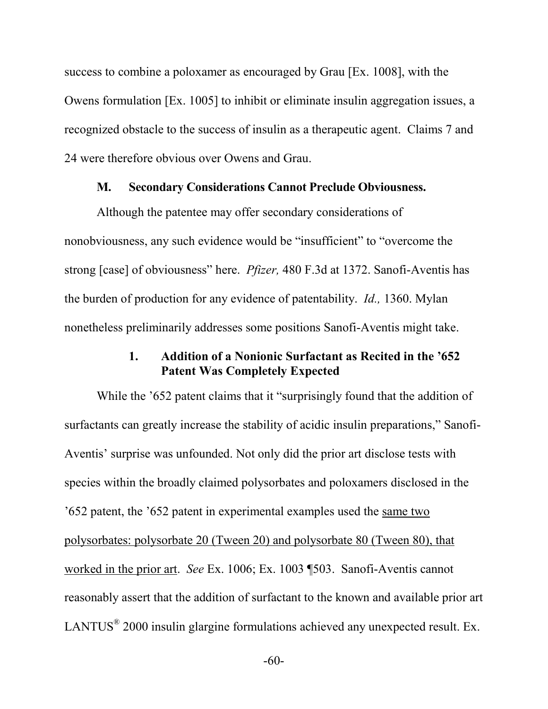success to combine a poloxamer as encouraged by Grau [Ex. 1008], with the Owens formulation [Ex. 1005] to inhibit or eliminate insulin aggregation issues, a recognized obstacle to the success of insulin as a therapeutic agent. Claims 7 and 24 were therefore obvious over Owens and Grau.

#### **M. Secondary Considerations Cannot Preclude Obviousness.**

Although the patentee may offer secondary considerations of nonobviousness, any such evidence would be "insufficient" to "overcome the strong [case] of obviousness" here. *Pfizer,* 480 F.3d at 1372. Sanofi-Aventis has the burden of production for any evidence of patentability. *Id.,* 1360. Mylan nonetheless preliminarily addresses some positions Sanofi-Aventis might take.

#### **1. Addition of a Nonionic Surfactant as Recited in the '652 Patent Was Completely Expected**

While the '652 patent claims that it "surprisingly found that the addition of surfactants can greatly increase the stability of acidic insulin preparations," Sanofi-Aventis' surprise was unfounded. Not only did the prior art disclose tests with species within the broadly claimed polysorbates and poloxamers disclosed in the '652 patent, the '652 patent in experimental examples used the same two polysorbates: polysorbate 20 (Tween 20) and polysorbate 80 (Tween 80), that worked in the prior art. *See* Ex. 1006; Ex. 1003 ¶503. Sanofi-Aventis cannot reasonably assert that the addition of surfactant to the known and available prior art LANTUS $^{\circ}$  2000 insulin glargine formulations achieved any unexpected result. Ex.

-60-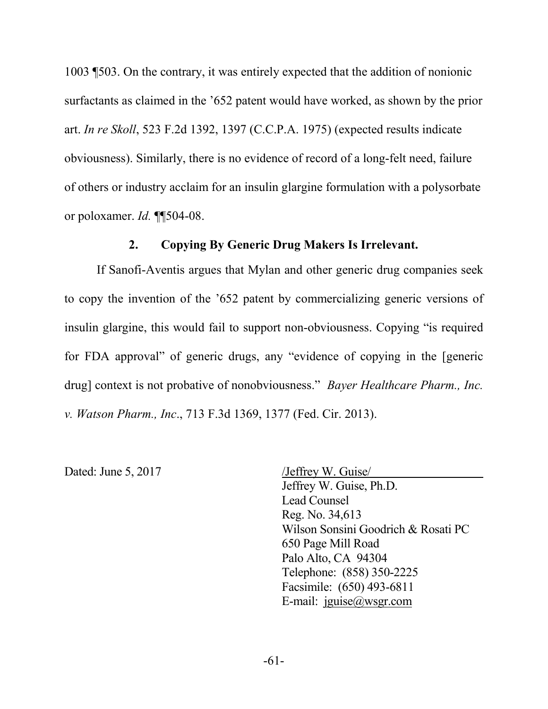1003 ¶503. On the contrary, it was entirely expected that the addition of nonionic surfactants as claimed in the '652 patent would have worked, as shown by the prior art. *In re Skoll*, 523 F.2d 1392, 1397 (C.C.P.A. 1975) (expected results indicate obviousness). Similarly, there is no evidence of record of a long-felt need, failure of others or industry acclaim for an insulin glargine formulation with a polysorbate or poloxamer. *Id.* ¶¶504-08.

#### **2. Copying By Generic Drug Makers Is Irrelevant.**

If Sanofi-Aventis argues that Mylan and other generic drug companies seek to copy the invention of the '652 patent by commercializing generic versions of insulin glargine, this would fail to support non-obviousness. Copying "is required for FDA approval" of generic drugs, any "evidence of copying in the [generic drug] context is not probative of nonobviousness." *Bayer Healthcare Pharm., Inc. v. Watson Pharm., Inc*., 713 F.3d 1369, 1377 (Fed. Cir. 2013).

Dated: June 5, 2017 /Jeffrey W. Guise

Jeffrey W. Guise, Ph.D. Lead Counsel Reg. No. 34,613 Wilson Sonsini Goodrich & Rosati PC 650 Page Mill Road Palo Alto, CA 94304 Telephone: (858) 350-2225 Facsimile: (650) 493-6811 E-mail: jguise@wsgr.com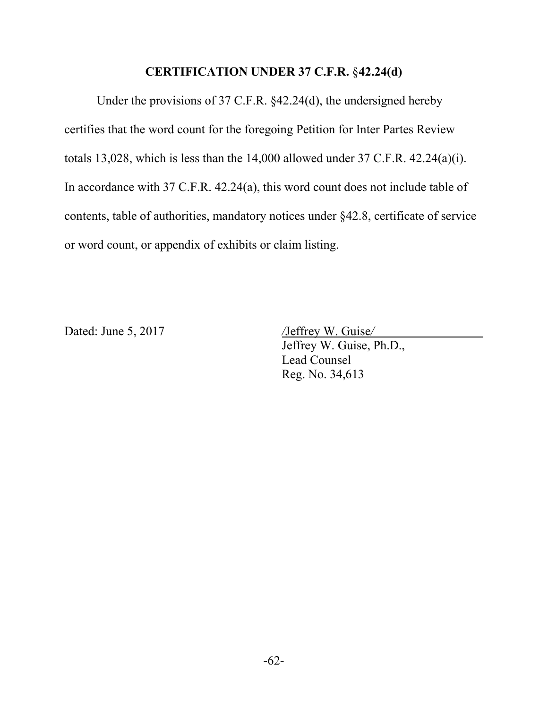## **CERTIFICATION UNDER 37 C.F.R.** §**42.24(d)**

Under the provisions of 37 C.F.R. §42.24(d), the undersigned hereby certifies that the word count for the foregoing Petition for Inter Partes Review totals 13,028, which is less than the 14,000 allowed under 37 C.F.R. 42.24(a)(i). In accordance with 37 C.F.R. 42.24(a), this word count does not include table of contents, table of authorities, mandatory notices under §42.8, certificate of service or word count, or appendix of exhibits or claim listing.

Dated: June 5, 2017 */*Jeffrey W. Guise*/*

Jeffrey W. Guise, Ph.D., Lead Counsel Reg. No. 34,613